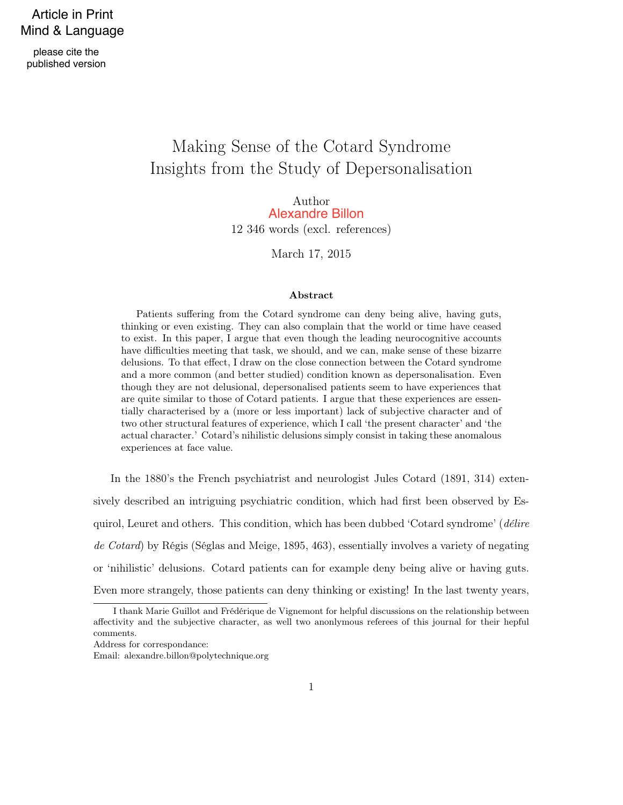please cite the published version

# Making Sense of the Cotard Syndrome Insights from the Study of Depersonalisation

Author 12 346 words (excl. references) Alexandre Billon

March 17, 2015

#### Abstract

Patients suffering from the Cotard syndrome can deny being alive, having guts, thinking or even existing. They can also complain that the world or time have ceased to exist. In this paper, I argue that even though the leading neurocognitive accounts have difficulties meeting that task, we should, and we can, make sense of these bizarre delusions. To that effect, I draw on the close connection between the Cotard syndrome and a more common (and better studied) condition known as depersonalisation. Even though they are not delusional, depersonalised patients seem to have experiences that are quite similar to those of Cotard patients. I argue that these experiences are essentially characterised by a (more or less important) lack of subjective character and of two other structural features of experience, which I call 'the present character' and 'the actual character.' Cotard's nihilistic delusions simply consist in taking these anomalous experiences at face value.

In the 1880's the French psychiatrist and neurologist Jules Cotard (1891, 314) extensively described an intriguing psychiatric condition, which had first been observed by Esquirol, Leuret and others. This condition, which has been dubbed 'Cotard syndrome' (*délire de Cotard*) by Régis (Séglas and Meige, 1895, 463), essentially involves a variety of negating or 'nihilistic' delusions. Cotard patients can for example deny being alive or having guts. Even more strangely, those patients can deny thinking or existing! In the last twenty years,

Address for correspondance:

Email: alexandre.billon@polytechnique.org

I thank Marie Guillot and Frédérique de Vignemont for helpful discussions on the relationship between affectivity and the subjective character, as well two anonlymous referees of this journal for their hepful comments.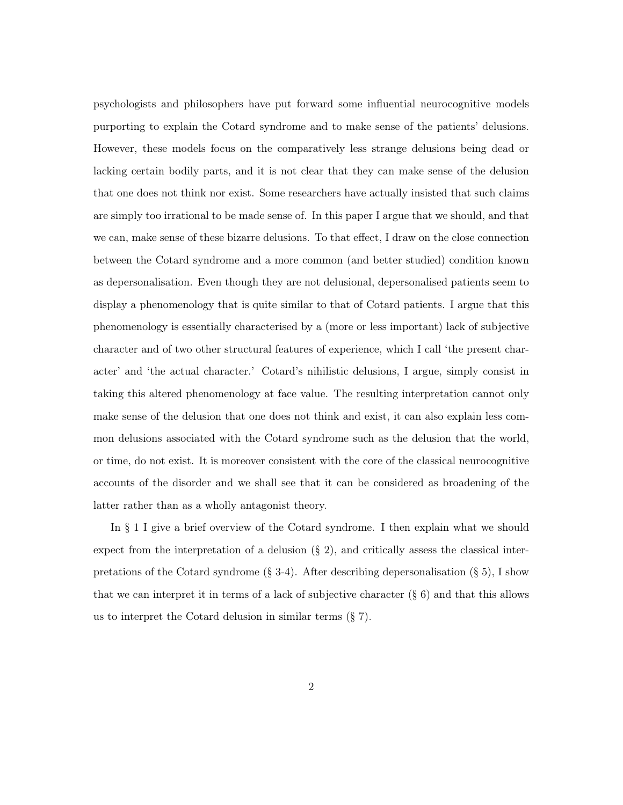psychologists and philosophers have put forward some influential neurocognitive models purporting to explain the Cotard syndrome and to make sense of the patients' delusions. However, these models focus on the comparatively less strange delusions being dead or lacking certain bodily parts, and it is not clear that they can make sense of the delusion that one does not think nor exist. Some researchers have actually insisted that such claims are simply too irrational to be made sense of. In this paper I argue that we should, and that we can, make sense of these bizarre delusions. To that effect, I draw on the close connection between the Cotard syndrome and a more common (and better studied) condition known as depersonalisation. Even though they are not delusional, depersonalised patients seem to display a phenomenology that is quite similar to that of Cotard patients. I argue that this phenomenology is essentially characterised by a (more or less important) lack of subjective character and of two other structural features of experience, which I call 'the present character' and 'the actual character.' Cotard's nihilistic delusions, I argue, simply consist in taking this altered phenomenology at face value. The resulting interpretation cannot only make sense of the delusion that one does not think and exist, it can also explain less common delusions associated with the Cotard syndrome such as the delusion that the world, or time, do not exist. It is moreover consistent with the core of the classical neurocognitive accounts of the disorder and we shall see that it can be considered as broadening of the latter rather than as a wholly antagonist theory.

In § 1 I give a brief overview of the Cotard syndrome. I then explain what we should expect from the interpretation of a delusion  $(\S 2)$ , and critically assess the classical interpretations of the Cotard syndrome  $(\S 3-4)$ . After describing depersonalisation  $(\S 5)$ , I show that we can interpret it in terms of a lack of subjective character  $(\S 6)$  and that this allows us to interpret the Cotard delusion in similar terms (§ 7).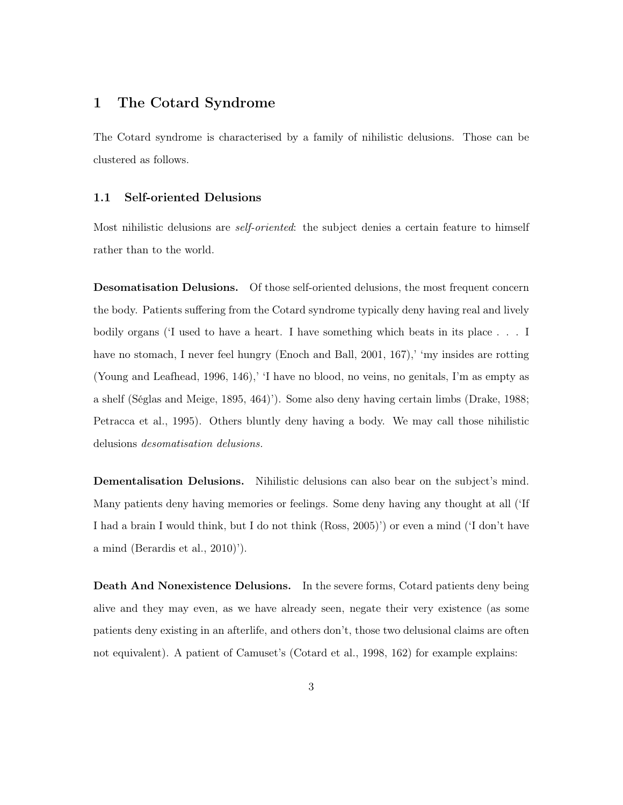# 1 The Cotard Syndrome

The Cotard syndrome is characterised by a family of nihilistic delusions. Those can be clustered as follows.

#### 1.1 Self-oriented Delusions

Most nihilistic delusions are *self-oriented*: the subject denies a certain feature to himself rather than to the world.

Desomatisation Delusions. Of those self-oriented delusions, the most frequent concern the body. Patients suffering from the Cotard syndrome typically deny having real and lively bodily organs ('I used to have a heart. I have something which beats in its place . . . I have no stomach, I never feel hungry (Enoch and Ball, 2001, 167),' 'my insides are rotting (Young and Leafhead, 1996, 146),' 'I have no blood, no veins, no genitals, I'm as empty as a shelf (Séglas and Meige, 1895, 464)'). Some also deny having certain limbs (Drake, 1988; Petracca et al., 1995). Others bluntly deny having a body. We may call those nihilistic delusions *desomatisation delusions.*

Dementalisation Delusions. Nihilistic delusions can also bear on the subject's mind. Many patients deny having memories or feelings. Some deny having any thought at all ('If I had a brain I would think, but I do not think (Ross, 2005)') or even a mind ('I don't have a mind (Berardis et al., 2010)').

Death And Nonexistence Delusions. In the severe forms, Cotard patients deny being alive and they may even, as we have already seen, negate their very existence (as some patients deny existing in an afterlife, and others don't, those two delusional claims are often not equivalent). A patient of Camuset's (Cotard et al., 1998, 162) for example explains: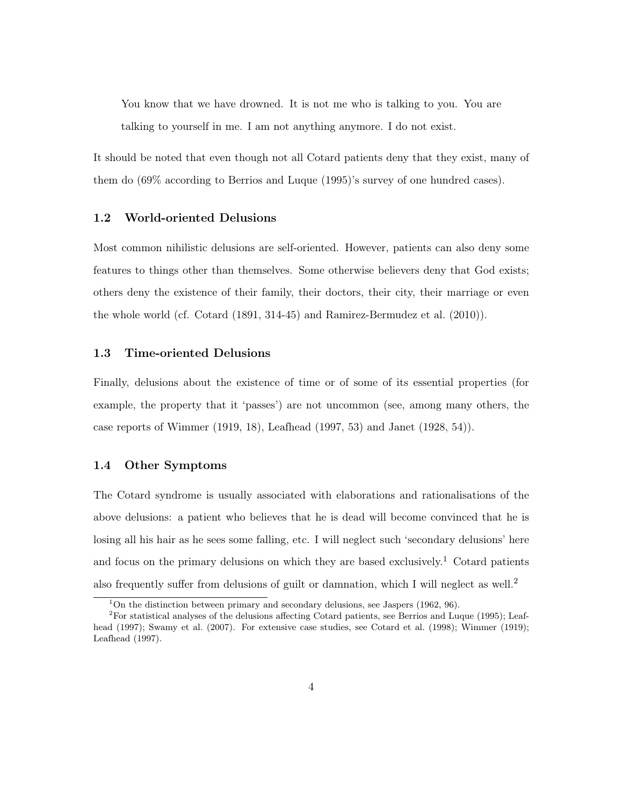You know that we have drowned. It is not me who is talking to you. You are talking to yourself in me. I am not anything anymore. I do not exist.

It should be noted that even though not all Cotard patients deny that they exist, many of them do (69% according to Berrios and Luque (1995)'s survey of one hundred cases).

## 1.2 World-oriented Delusions

Most common nihilistic delusions are self-oriented. However, patients can also deny some features to things other than themselves. Some otherwise believers deny that God exists; others deny the existence of their family, their doctors, their city, their marriage or even the whole world (cf. Cotard (1891, 314-45) and Ramirez-Bermudez et al. (2010)).

## 1.3 Time-oriented Delusions

Finally, delusions about the existence of time or of some of its essential properties (for example, the property that it 'passes') are not uncommon (see, among many others, the case reports of Wimmer (1919, 18), Leafhead (1997, 53) and Janet (1928, 54)).

### 1.4 Other Symptoms

The Cotard syndrome is usually associated with elaborations and rationalisations of the above delusions: a patient who believes that he is dead will become convinced that he is losing all his hair as he sees some falling, etc. I will neglect such 'secondary delusions' here and focus on the primary delusions on which they are based exclusively.<sup>1</sup> Cotard patients also frequently suffer from delusions of guilt or damnation, which I will neglect as well.<sup>2</sup>

 $1$ On the distinction between primary and secondary delusions, see Jaspers (1962, 96).

<sup>2</sup>For statistical analyses of the delusions affecting Cotard patients, see Berrios and Luque (1995); Leafhead (1997); Swamy et al. (2007). For extensive case studies, see Cotard et al. (1998); Wimmer (1919); Leafhead (1997).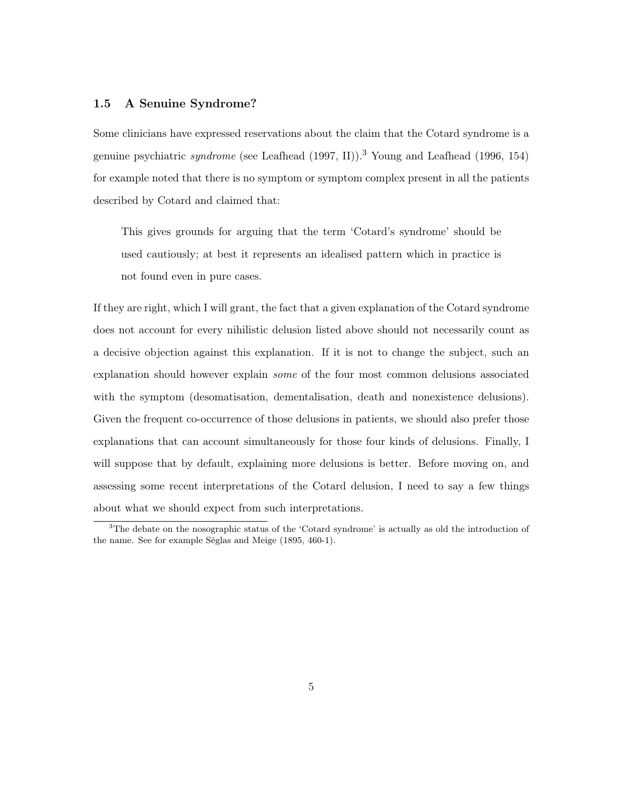## 1.5 A Senuine Syndrome?

Some clinicians have expressed reservations about the claim that the Cotard syndrome is a genuine psychiatric *syndrome* (see Leafhead (1997, II)).<sup>3</sup> Young and Leafhead (1996, 154) for example noted that there is no symptom or symptom complex present in all the patients described by Cotard and claimed that:

This gives grounds for arguing that the term 'Cotard's syndrome' should be used cautiously; at best it represents an idealised pattern which in practice is not found even in pure cases.

If they are right, which I will grant, the fact that a given explanation of the Cotard syndrome does not account for every nihilistic delusion listed above should not necessarily count as a decisive objection against this explanation. If it is not to change the subject, such an explanation should however explain *some* of the four most common delusions associated with the symptom (desomatisation, dementalisation, death and nonexistence delusions). Given the frequent co-occurrence of those delusions in patients, we should also prefer those explanations that can account simultaneously for those four kinds of delusions. Finally, I will suppose that by default, explaining more delusions is better. Before moving on, and assessing some recent interpretations of the Cotard delusion, I need to say a few things about what we should expect from such interpretations.

<sup>&</sup>lt;sup>3</sup>The debate on the nosographic status of the 'Cotard syndrome' is actually as old the introduction of the name. See for example Séglas and Meige (1895, 460-1).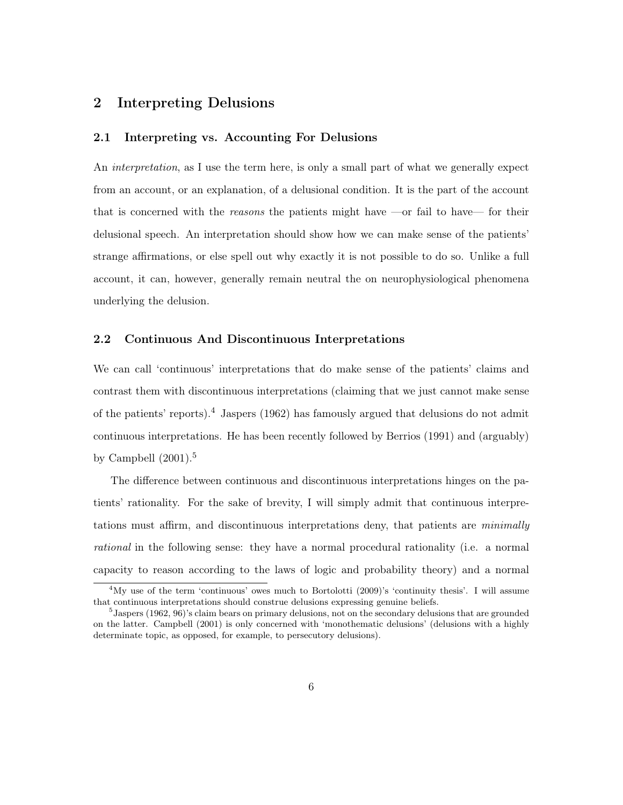# 2 Interpreting Delusions

## 2.1 Interpreting vs. Accounting For Delusions

An *interpretation*, as I use the term here, is only a small part of what we generally expect from an account, or an explanation, of a delusional condition. It is the part of the account that is concerned with the *reasons* the patients might have —or fail to have— for their delusional speech. An interpretation should show how we can make sense of the patients' strange affirmations, or else spell out why exactly it is not possible to do so. Unlike a full account, it can, however, generally remain neutral the on neurophysiological phenomena underlying the delusion.

#### 2.2 Continuous And Discontinuous Interpretations

We can call 'continuous' interpretations that do make sense of the patients' claims and contrast them with discontinuous interpretations (claiming that we just cannot make sense of the patients' reports).<sup>4</sup> Jaspers (1962) has famously argued that delusions do not admit continuous interpretations. He has been recently followed by Berrios (1991) and (arguably) by Campbell  $(2001).<sup>5</sup>$ 

The difference between continuous and discontinuous interpretations hinges on the patients' rationality. For the sake of brevity, I will simply admit that continuous interpretations must affirm, and discontinuous interpretations deny, that patients are *minimally rational* in the following sense: they have a normal procedural rationality (i.e. a normal capacity to reason according to the laws of logic and probability theory) and a normal

<sup>&</sup>lt;sup>4</sup>My use of the term 'continuous' owes much to Bortolotti (2009)'s 'continuity thesis'. I will assume that continuous interpretations should construe delusions expressing genuine beliefs.

 $5J$ aspers (1962, 96)'s claim bears on primary delusions, not on the secondary delusions that are grounded on the latter. Campbell (2001) is only concerned with 'monothematic delusions' (delusions with a highly determinate topic, as opposed, for example, to persecutory delusions).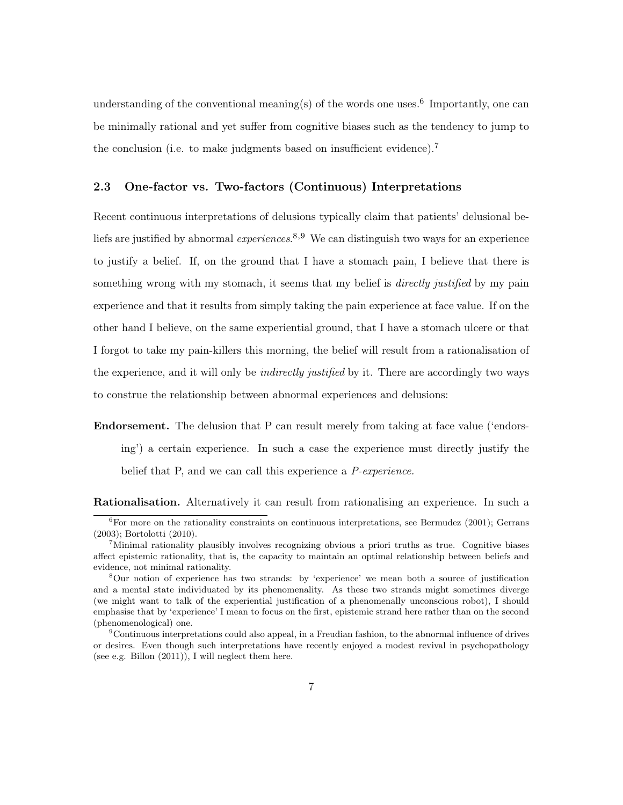understanding of the conventional meaning(s) of the words one uses.<sup>6</sup> Importantly, one can be minimally rational and yet suffer from cognitive biases such as the tendency to jump to the conclusion (i.e. to make judgments based on insufficient evidence).<sup>7</sup>

## 2.3 One-factor vs. Two-factors (Continuous) Interpretations

Recent continuous interpretations of delusions typically claim that patients' delusional beliefs are justified by abnormal *experiences*. 8,9 We can distinguish two ways for an experience to justify a belief. If, on the ground that I have a stomach pain, I believe that there is something wrong with my stomach, it seems that my belief is *directly justified* by my pain experience and that it results from simply taking the pain experience at face value. If on the other hand I believe, on the same experiential ground, that I have a stomach ulcere or that I forgot to take my pain-killers this morning, the belief will result from a rationalisation of the experience, and it will only be *indirectly justified* by it. There are accordingly two ways to construe the relationship between abnormal experiences and delusions:

Endorsement. The delusion that P can result merely from taking at face value ('endorsing') a certain experience. In such a case the experience must directly justify the belief that P, and we can call this experience a *P-experience.*

Rationalisation. Alternatively it can result from rationalising an experience. In such a

 ${}^{6}$ For more on the rationality constraints on continuous interpretations, see Bermudez (2001); Gerrans (2003); Bortolotti (2010).

<sup>7</sup>Minimal rationality plausibly involves recognizing obvious a priori truths as true. Cognitive biases affect epistemic rationality, that is, the capacity to maintain an optimal relationship between beliefs and evidence, not minimal rationality.

<sup>8</sup>Our notion of experience has two strands: by 'experience' we mean both a source of justification and a mental state individuated by its phenomenality. As these two strands might sometimes diverge (we might want to talk of the experiential justification of a phenomenally unconscious robot), I should emphasise that by 'experience' I mean to focus on the first, epistemic strand here rather than on the second (phenomenological) one.

<sup>9</sup>Continuous interpretations could also appeal, in a Freudian fashion, to the abnormal influence of drives or desires. Even though such interpretations have recently enjoyed a modest revival in psychopathology (see e.g. Billon (2011)), I will neglect them here.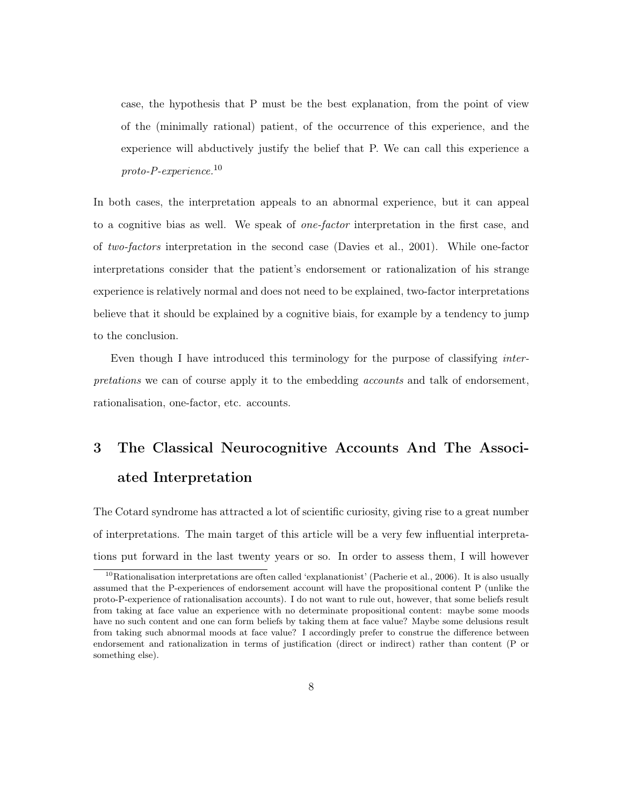case, the hypothesis that P must be the best explanation, from the point of view of the (minimally rational) patient, of the occurrence of this experience, and the experience will abductively justify the belief that P. We can call this experience a *proto-P-experience.*<sup>10</sup>

In both cases, the interpretation appeals to an abnormal experience, but it can appeal to a cognitive bias as well. We speak of *one-factor* interpretation in the first case, and of *two-factors* interpretation in the second case (Davies et al., 2001). While one-factor interpretations consider that the patient's endorsement or rationalization of his strange experience is relatively normal and does not need to be explained, two-factor interpretations believe that it should be explained by a cognitive biais, for example by a tendency to jump to the conclusion.

Even though I have introduced this terminology for the purpose of classifying *interpretations* we can of course apply it to the embedding *accounts* and talk of endorsement, rationalisation, one-factor, etc. accounts.

# 3 The Classical Neurocognitive Accounts And The Associated Interpretation

The Cotard syndrome has attracted a lot of scientific curiosity, giving rise to a great number of interpretations. The main target of this article will be a very few influential interpretations put forward in the last twenty years or so. In order to assess them, I will however

<sup>&</sup>lt;sup>10</sup>Rationalisation interpretations are often called 'explanationist' (Pacherie et al., 2006). It is also usually assumed that the P-experiences of endorsement account will have the propositional content P (unlike the proto-P-experience of rationalisation accounts). I do not want to rule out, however, that some beliefs result from taking at face value an experience with no determinate propositional content: maybe some moods have no such content and one can form beliefs by taking them at face value? Maybe some delusions result from taking such abnormal moods at face value? I accordingly prefer to construe the difference between endorsement and rationalization in terms of justification (direct or indirect) rather than content (P or something else).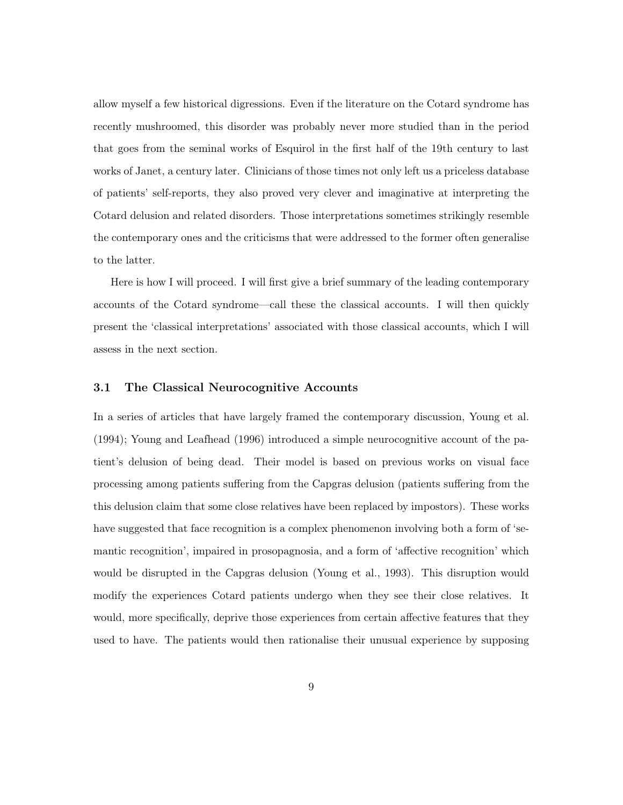allow myself a few historical digressions. Even if the literature on the Cotard syndrome has recently mushroomed, this disorder was probably never more studied than in the period that goes from the seminal works of Esquirol in the first half of the 19th century to last works of Janet, a century later. Clinicians of those times not only left us a priceless database of patients' self-reports, they also proved very clever and imaginative at interpreting the Cotard delusion and related disorders. Those interpretations sometimes strikingly resemble the contemporary ones and the criticisms that were addressed to the former often generalise to the latter.

Here is how I will proceed. I will first give a brief summary of the leading contemporary accounts of the Cotard syndrome—call these the classical accounts. I will then quickly present the 'classical interpretations' associated with those classical accounts, which I will assess in the next section.

#### 3.1 The Classical Neurocognitive Accounts

In a series of articles that have largely framed the contemporary discussion, Young et al. (1994); Young and Leafhead (1996) introduced a simple neurocognitive account of the patient's delusion of being dead. Their model is based on previous works on visual face processing among patients suffering from the Capgras delusion (patients suffering from the this delusion claim that some close relatives have been replaced by impostors). These works have suggested that face recognition is a complex phenomenon involving both a form of 'semantic recognition', impaired in prosopagnosia, and a form of 'affective recognition' which would be disrupted in the Capgras delusion (Young et al., 1993). This disruption would modify the experiences Cotard patients undergo when they see their close relatives. It would, more specifically, deprive those experiences from certain affective features that they used to have. The patients would then rationalise their unusual experience by supposing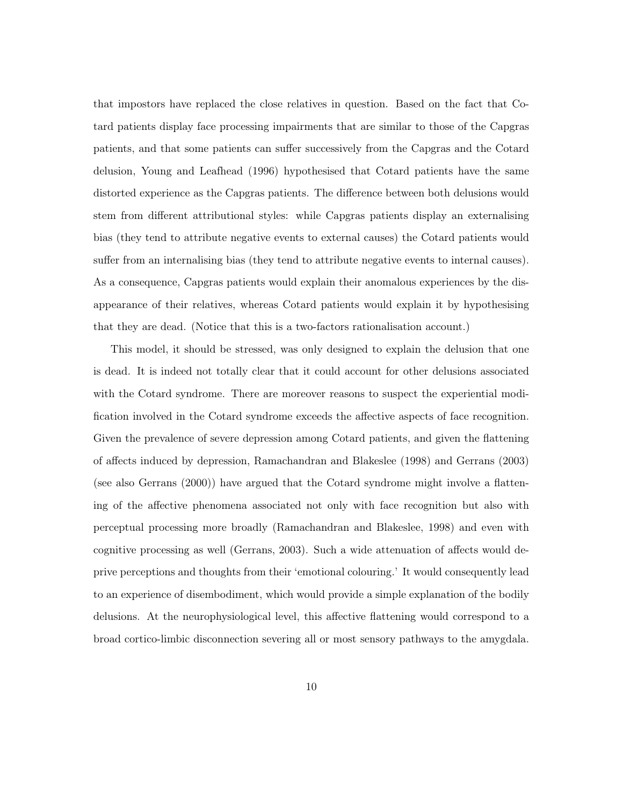that impostors have replaced the close relatives in question. Based on the fact that Cotard patients display face processing impairments that are similar to those of the Capgras patients, and that some patients can suffer successively from the Capgras and the Cotard delusion, Young and Leafhead (1996) hypothesised that Cotard patients have the same distorted experience as the Capgras patients. The difference between both delusions would stem from different attributional styles: while Capgras patients display an externalising bias (they tend to attribute negative events to external causes) the Cotard patients would suffer from an internalising bias (they tend to attribute negative events to internal causes). As a consequence, Capgras patients would explain their anomalous experiences by the disappearance of their relatives, whereas Cotard patients would explain it by hypothesising that they are dead. (Notice that this is a two-factors rationalisation account.)

This model, it should be stressed, was only designed to explain the delusion that one is dead. It is indeed not totally clear that it could account for other delusions associated with the Cotard syndrome. There are moreover reasons to suspect the experiential modification involved in the Cotard syndrome exceeds the affective aspects of face recognition. Given the prevalence of severe depression among Cotard patients, and given the flattening of affects induced by depression, Ramachandran and Blakeslee (1998) and Gerrans (2003) (see also Gerrans (2000)) have argued that the Cotard syndrome might involve a flattening of the affective phenomena associated not only with face recognition but also with perceptual processing more broadly (Ramachandran and Blakeslee, 1998) and even with cognitive processing as well (Gerrans, 2003). Such a wide attenuation of affects would deprive perceptions and thoughts from their 'emotional colouring.' It would consequently lead to an experience of disembodiment, which would provide a simple explanation of the bodily delusions. At the neurophysiological level, this affective flattening would correspond to a broad cortico-limbic disconnection severing all or most sensory pathways to the amygdala.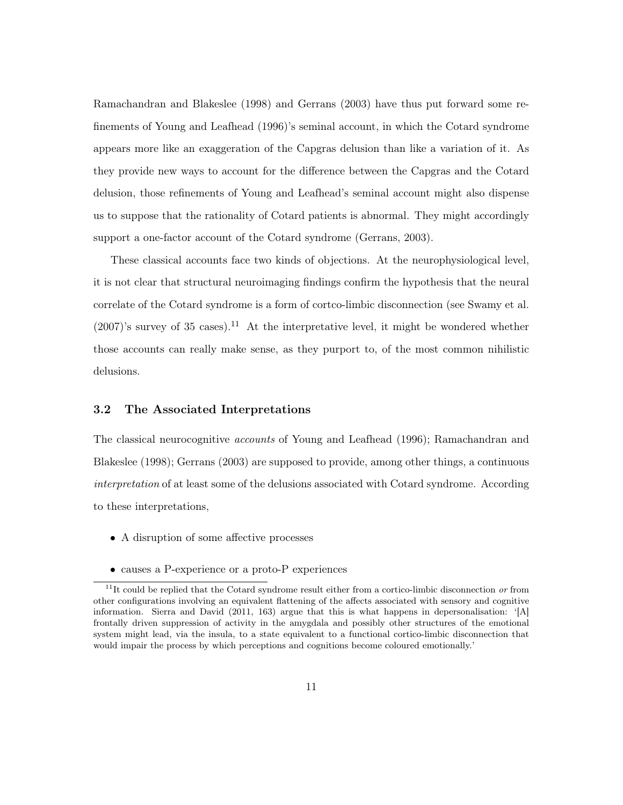Ramachandran and Blakeslee (1998) and Gerrans (2003) have thus put forward some refinements of Young and Leafhead (1996)'s seminal account, in which the Cotard syndrome appears more like an exaggeration of the Capgras delusion than like a variation of it. As they provide new ways to account for the difference between the Capgras and the Cotard delusion, those refinements of Young and Leafhead's seminal account might also dispense us to suppose that the rationality of Cotard patients is abnormal. They might accordingly support a one-factor account of the Cotard syndrome (Gerrans, 2003).

These classical accounts face two kinds of objections. At the neurophysiological level, it is not clear that structural neuroimaging findings confirm the hypothesis that the neural correlate of the Cotard syndrome is a form of cortco-limbic disconnection (see Swamy et al.  $(2007)$ 's survey of 35 cases).<sup>11</sup> At the interpretative level, it might be wondered whether those accounts can really make sense, as they purport to, of the most common nihilistic delusions.

#### 3.2 The Associated Interpretations

The classical neurocognitive *accounts* of Young and Leafhead (1996); Ramachandran and Blakeslee (1998); Gerrans (2003) are supposed to provide, among other things, a continuous *interpretation* of at least some of the delusions associated with Cotard syndrome. According to these interpretations,

- A disruption of some affective processes
- causes a P-experience or a proto-P experiences

<sup>11</sup>It could be replied that the Cotard syndrome result either from a cortico-limbic disconnection *or* from other configurations involving an equivalent flattening of the affects associated with sensory and cognitive information. Sierra and David (2011, 163) argue that this is what happens in depersonalisation: '[A] frontally driven suppression of activity in the amygdala and possibly other structures of the emotional system might lead, via the insula, to a state equivalent to a functional cortico-limbic disconnection that would impair the process by which perceptions and cognitions become coloured emotionally.'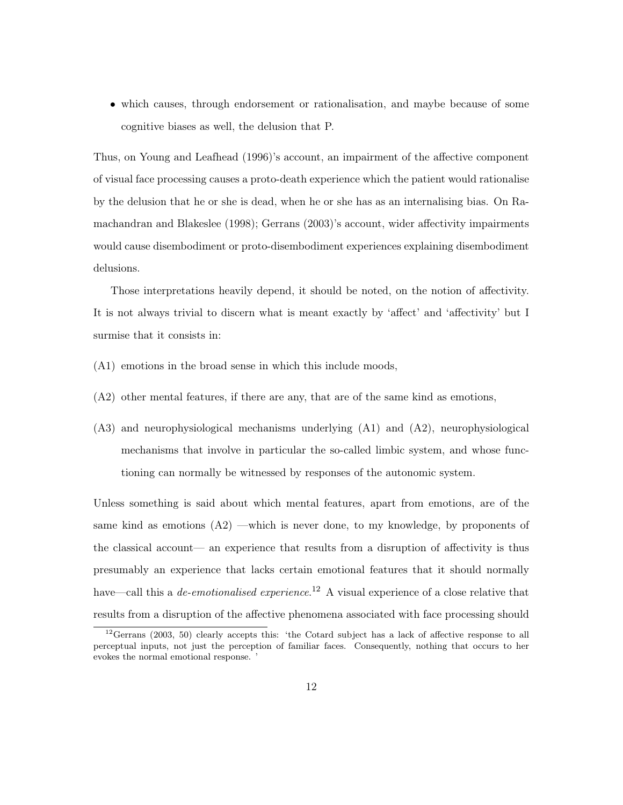• which causes, through endorsement or rationalisation, and maybe because of some cognitive biases as well, the delusion that P.

Thus, on Young and Leafhead (1996)'s account, an impairment of the affective component of visual face processing causes a proto-death experience which the patient would rationalise by the delusion that he or she is dead, when he or she has as an internalising bias. On Ramachandran and Blakeslee (1998); Gerrans (2003)'s account, wider affectivity impairments would cause disembodiment or proto-disembodiment experiences explaining disembodiment delusions.

Those interpretations heavily depend, it should be noted, on the notion of affectivity. It is not always trivial to discern what is meant exactly by 'affect' and 'affectivity' but I surmise that it consists in:

- (A1) emotions in the broad sense in which this include moods,
- (A2) other mental features, if there are any, that are of the same kind as emotions,
- (A3) and neurophysiological mechanisms underlying (A1) and (A2), neurophysiological mechanisms that involve in particular the so-called limbic system, and whose functioning can normally be witnessed by responses of the autonomic system.

Unless something is said about which mental features, apart from emotions, are of the same kind as emotions  $(A2)$  —which is never done, to my knowledge, by proponents of the classical account— an experience that results from a disruption of affectivity is thus presumably an experience that lacks certain emotional features that it should normally have—call this a *de-emotionalised experience*.<sup>12</sup> A visual experience of a close relative that results from a disruption of the affective phenomena associated with face processing should

 $12$ Gerrans (2003, 50) clearly accepts this: 'the Cotard subject has a lack of affective response to all perceptual inputs, not just the perception of familiar faces. Consequently, nothing that occurs to her evokes the normal emotional response. '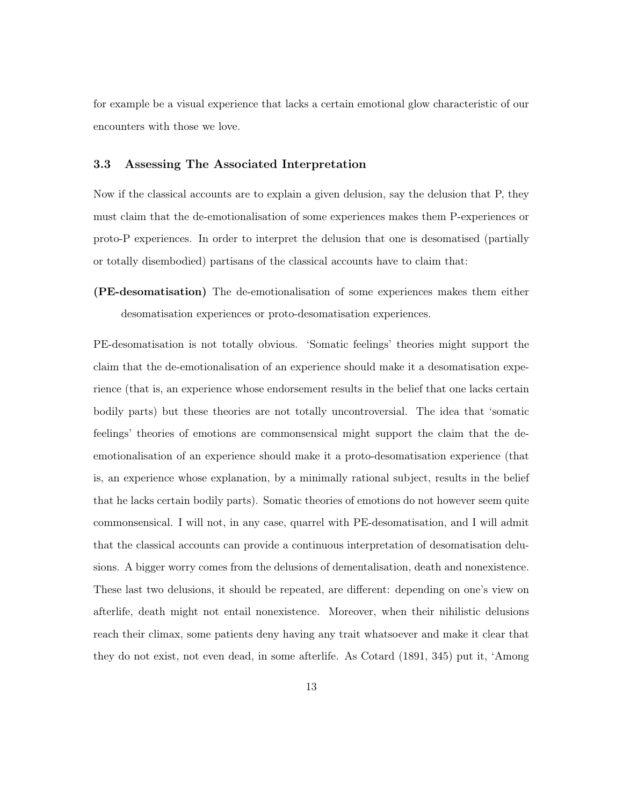for example be a visual experience that lacks a certain emotional glow characteristic of our encounters with those we love.

## 3.3 Assessing The Associated Interpretation

Now if the classical accounts are to explain a given delusion, say the delusion that P, they must claim that the de-emotionalisation of some experiences makes them P-experiences or proto-P experiences. In order to interpret the delusion that one is desomatised (partially or totally disembodied) partisans of the classical accounts have to claim that:

(PE-desomatisation) The de-emotionalisation of some experiences makes them either desomatisation experiences or proto-desomatisation experiences.

PE-desomatisation is not totally obvious. 'Somatic feelings' theories might support the claim that the de-emotionalisation of an experience should make it a desomatisation experience (that is, an experience whose endorsement results in the belief that one lacks certain bodily parts) but these theories are not totally uncontroversial. The idea that 'somatic feelings' theories of emotions are commonsensical might support the claim that the deemotionalisation of an experience should make it a proto-desomatisation experience (that is, an experience whose explanation, by a minimally rational subject, results in the belief that he lacks certain bodily parts). Somatic theories of emotions do not however seem quite commonsensical. I will not, in any case, quarrel with PE-desomatisation, and I will admit that the classical accounts can provide a continuous interpretation of desomatisation delusions. A bigger worry comes from the delusions of dementalisation, death and nonexistence. These last two delusions, it should be repeated, are different: depending on one's view on afterlife, death might not entail nonexistence. Moreover, when their nihilistic delusions reach their climax, some patients deny having any trait whatsoever and make it clear that they do not exist, not even dead, in some afterlife. As Cotard (1891, 345) put it, 'Among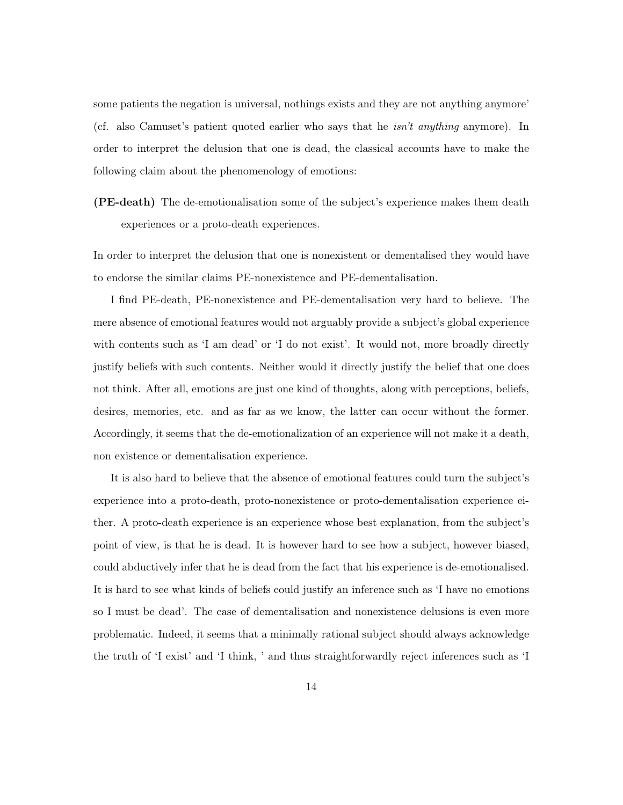some patients the negation is universal, nothings exists and they are not anything anymore' (cf. also Camuset's patient quoted earlier who says that he *isn't anything* anymore). In order to interpret the delusion that one is dead, the classical accounts have to make the following claim about the phenomenology of emotions:

(PE-death) The de-emotionalisation some of the subject's experience makes them death experiences or a proto-death experiences.

In order to interpret the delusion that one is nonexistent or dementalised they would have to endorse the similar claims PE-nonexistence and PE-dementalisation.

I find PE-death, PE-nonexistence and PE-dementalisation very hard to believe. The mere absence of emotional features would not arguably provide a subject's global experience with contents such as 'I am dead' or 'I do not exist'. It would not, more broadly directly justify beliefs with such contents. Neither would it directly justify the belief that one does not think. After all, emotions are just one kind of thoughts, along with perceptions, beliefs, desires, memories, etc. and as far as we know, the latter can occur without the former. Accordingly, it seems that the de-emotionalization of an experience will not make it a death, non existence or dementalisation experience.

It is also hard to believe that the absence of emotional features could turn the subject's experience into a proto-death, proto-nonexistence or proto-dementalisation experience either. A proto-death experience is an experience whose best explanation, from the subject's point of view, is that he is dead. It is however hard to see how a subject, however biased, could abductively infer that he is dead from the fact that his experience is de-emotionalised. It is hard to see what kinds of beliefs could justify an inference such as 'I have no emotions so I must be dead'. The case of dementalisation and nonexistence delusions is even more problematic. Indeed, it seems that a minimally rational subject should always acknowledge the truth of 'I exist' and 'I think, ' and thus straightforwardly reject inferences such as 'I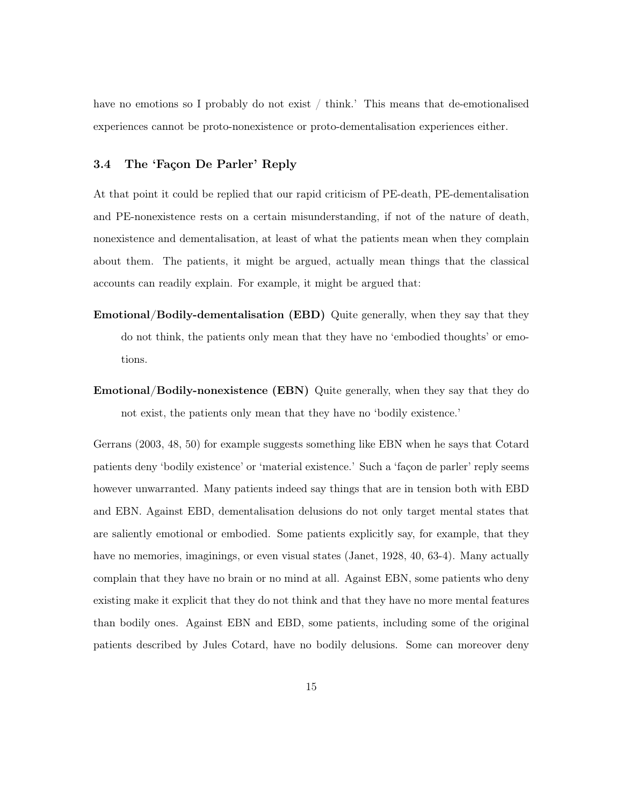have no emotions so I probably do not exist / think.' This means that de-emotionalised experiences cannot be proto-nonexistence or proto-dementalisation experiences either.

## 3.4 The 'Façon De Parler' Reply

At that point it could be replied that our rapid criticism of PE-death, PE-dementalisation and PE-nonexistence rests on a certain misunderstanding, if not of the nature of death, nonexistence and dementalisation, at least of what the patients mean when they complain about them. The patients, it might be argued, actually mean things that the classical accounts can readily explain. For example, it might be argued that:

- Emotional/Bodily-dementalisation (EBD) Quite generally, when they say that they do not think, the patients only mean that they have no 'embodied thoughts' or emotions.
- Emotional/Bodily-nonexistence (EBN) Quite generally, when they say that they do not exist, the patients only mean that they have no 'bodily existence.'

Gerrans (2003, 48, 50) for example suggests something like EBN when he says that Cotard patients deny 'bodily existence' or 'material existence.' Such a 'façon de parler' reply seems however unwarranted. Many patients indeed say things that are in tension both with EBD and EBN. Against EBD, dementalisation delusions do not only target mental states that are saliently emotional or embodied. Some patients explicitly say, for example, that they have no memories, imaginings, or even visual states (Janet, 1928, 40, 63-4). Many actually complain that they have no brain or no mind at all. Against EBN, some patients who deny existing make it explicit that they do not think and that they have no more mental features than bodily ones. Against EBN and EBD, some patients, including some of the original patients described by Jules Cotard, have no bodily delusions. Some can moreover deny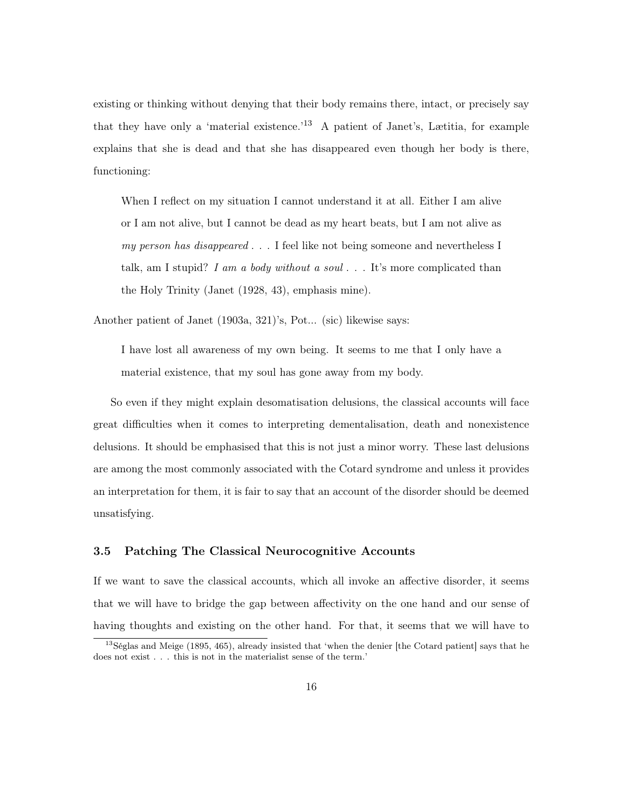existing or thinking without denying that their body remains there, intact, or precisely say that they have only a 'material existence.'<sup>13</sup> A patient of Janet's, Lætitia, for example explains that she is dead and that she has disappeared even though her body is there, functioning:

When I reflect on my situation I cannot understand it at all. Either I am alive or I am not alive, but I cannot be dead as my heart beats, but I am not alive as *my person has disappeared* . . . I feel like not being someone and nevertheless I talk, am I stupid? *I am a body without a soul* . . . It's more complicated than the Holy Trinity (Janet (1928, 43), emphasis mine).

Another patient of Janet (1903a, 321)'s, Pot... (sic) likewise says:

I have lost all awareness of my own being. It seems to me that I only have a material existence, that my soul has gone away from my body.

So even if they might explain desomatisation delusions, the classical accounts will face great difficulties when it comes to interpreting dementalisation, death and nonexistence delusions. It should be emphasised that this is not just a minor worry. These last delusions are among the most commonly associated with the Cotard syndrome and unless it provides an interpretation for them, it is fair to say that an account of the disorder should be deemed unsatisfying.

#### 3.5 Patching The Classical Neurocognitive Accounts

If we want to save the classical accounts, which all invoke an affective disorder, it seems that we will have to bridge the gap between affectivity on the one hand and our sense of having thoughts and existing on the other hand. For that, it seems that we will have to

<sup>&</sup>lt;sup>13</sup>Séglas and Meige (1895, 465), already insisted that 'when the denier [the Cotard patient] says that he does not exist . . . this is not in the materialist sense of the term.'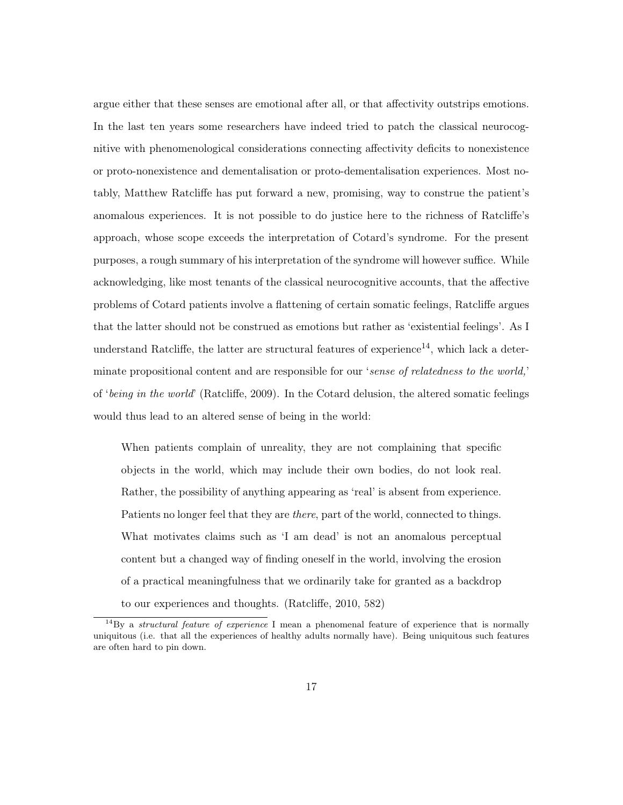argue either that these senses are emotional after all, or that affectivity outstrips emotions. In the last ten years some researchers have indeed tried to patch the classical neurocognitive with phenomenological considerations connecting affectivity deficits to nonexistence or proto-nonexistence and dementalisation or proto-dementalisation experiences. Most notably, Matthew Ratcliffe has put forward a new, promising, way to construe the patient's anomalous experiences. It is not possible to do justice here to the richness of Ratcliffe's approach, whose scope exceeds the interpretation of Cotard's syndrome. For the present purposes, a rough summary of his interpretation of the syndrome will however suffice. While acknowledging, like most tenants of the classical neurocognitive accounts, that the affective problems of Cotard patients involve a flattening of certain somatic feelings, Ratcliffe argues that the latter should not be construed as emotions but rather as 'existential feelings'. As I understand Ratcliffe, the latter are structural features of experience<sup>14</sup>, which lack a determinate propositional content and are responsible for our '*sense of relatedness to the world,*' of '*being in the world*' (Ratcliffe, 2009). In the Cotard delusion, the altered somatic feelings would thus lead to an altered sense of being in the world:

When patients complain of unreality, they are not complaining that specific objects in the world, which may include their own bodies, do not look real. Rather, the possibility of anything appearing as 'real' is absent from experience. Patients no longer feel that they are *there*, part of the world, connected to things. What motivates claims such as 'I am dead' is not an anomalous perceptual content but a changed way of finding oneself in the world, involving the erosion of a practical meaningfulness that we ordinarily take for granted as a backdrop to our experiences and thoughts. (Ratcliffe, 2010, 582)

<sup>14</sup>By a *structural feature of experience* I mean a phenomenal feature of experience that is normally uniquitous (i.e. that all the experiences of healthy adults normally have). Being uniquitous such features are often hard to pin down.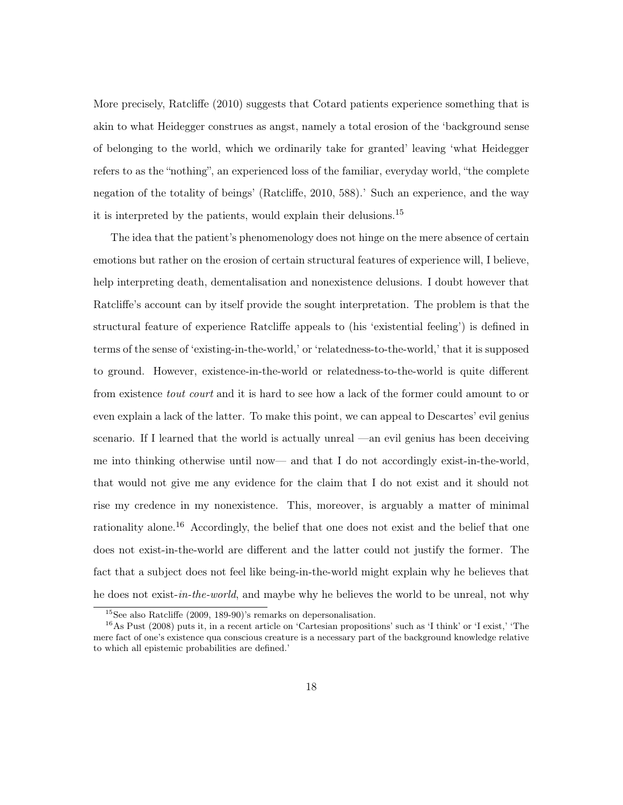More precisely, Ratcliffe (2010) suggests that Cotard patients experience something that is akin to what Heidegger construes as angst, namely a total erosion of the 'background sense of belonging to the world, which we ordinarily take for granted' leaving 'what Heidegger refers to as the "nothing", an experienced loss of the familiar, everyday world, "the complete negation of the totality of beings' (Ratcliffe, 2010, 588).' Such an experience, and the way it is interpreted by the patients, would explain their delusions.<sup>15</sup>

The idea that the patient's phenomenology does not hinge on the mere absence of certain emotions but rather on the erosion of certain structural features of experience will, I believe, help interpreting death, dementalisation and nonexistence delusions. I doubt however that Ratcliffe's account can by itself provide the sought interpretation. The problem is that the structural feature of experience Ratcliffe appeals to (his 'existential feeling') is defined in terms of the sense of 'existing-in-the-world,' or 'relatedness-to-the-world,' that it is supposed to ground. However, existence-in-the-world or relatedness-to-the-world is quite different from existence *tout court* and it is hard to see how a lack of the former could amount to or even explain a lack of the latter. To make this point, we can appeal to Descartes' evil genius scenario. If I learned that the world is actually unreal —an evil genius has been deceiving me into thinking otherwise until now— and that I do not accordingly exist-in-the-world, that would not give me any evidence for the claim that I do not exist and it should not rise my credence in my nonexistence. This, moreover, is arguably a matter of minimal rationality alone.<sup>16</sup> Accordingly, the belief that one does not exist and the belief that one does not exist-in-the-world are different and the latter could not justify the former. The fact that a subject does not feel like being-in-the-world might explain why he believes that he does not exist-*in-the-world*, and maybe why he believes the world to be unreal, not why

<sup>15</sup>See also Ratcliffe (2009, 189-90)'s remarks on depersonalisation.

<sup>&</sup>lt;sup>16</sup>As Pust (2008) puts it, in a recent article on 'Cartesian propositions' such as 'I think' or 'I exist,' 'The mere fact of one's existence qua conscious creature is a necessary part of the background knowledge relative to which all epistemic probabilities are defined.'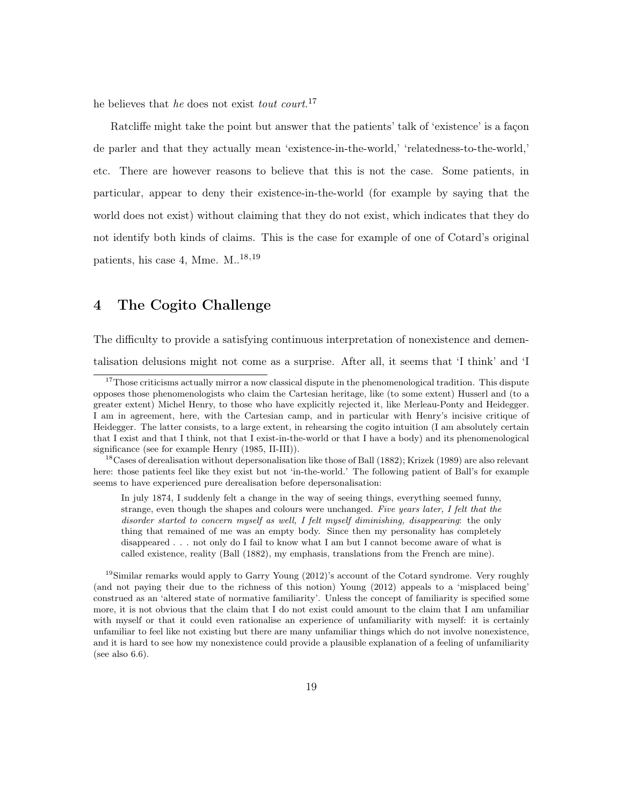he believes that *he* does not exist *tout court*. 17

Ratcliffe might take the point but answer that the patients' talk of 'existence' is a façon de parler and that they actually mean 'existence-in-the-world,' 'relatedness-to-the-world,' etc. There are however reasons to believe that this is not the case. Some patients, in particular, appear to deny their existence-in-the-world (for example by saying that the world does not exist) without claiming that they do not exist, which indicates that they do not identify both kinds of claims. This is the case for example of one of Cotard's original patients, his case 4, Mme.  $M<sup>18,19</sup>$ 

# 4 The Cogito Challenge

The difficulty to provide a satisfying continuous interpretation of nonexistence and dementalisation delusions might not come as a surprise. After all, it seems that 'I think' and 'I

In july 1874, I suddenly felt a change in the way of seeing things, everything seemed funny, strange, even though the shapes and colours were unchanged. *Five years later, I felt that the disorder started to concern myself as well, I felt myself diminishing, disappearing*: the only thing that remained of me was an empty body. Since then my personality has completely disappeared . . . not only do I fail to know what I am but I cannot become aware of what is called existence, reality (Ball (1882), my emphasis, translations from the French are mine).

<sup>19</sup>Similar remarks would apply to Garry Young (2012)'s account of the Cotard syndrome. Very roughly (and not paying their due to the richness of this notion) Young (2012) appeals to a 'misplaced being' construed as an 'altered state of normative familiarity'. Unless the concept of familiarity is specified some more, it is not obvious that the claim that I do not exist could amount to the claim that I am unfamiliar with myself or that it could even rationalise an experience of unfamiliarity with myself: it is certainly unfamiliar to feel like not existing but there are many unfamiliar things which do not involve nonexistence, and it is hard to see how my nonexistence could provide a plausible explanation of a feeling of unfamiliarity (see also 6.6).

<sup>&</sup>lt;sup>17</sup>Those criticisms actually mirror a now classical dispute in the phenomenological tradition. This dispute opposes those phenomenologists who claim the Cartesian heritage, like (to some extent) Husserl and (to a greater extent) Michel Henry, to those who have explicitly rejected it, like Merleau-Ponty and Heidegger. I am in agreement, here, with the Cartesian camp, and in particular with Henry's incisive critique of Heidegger. The latter consists, to a large extent, in rehearsing the cogito intuition (I am absolutely certain that I exist and that I think, not that I exist-in-the-world or that I have a body) and its phenomenological significance (see for example Henry (1985, II-III)).

<sup>&</sup>lt;sup>18</sup>Cases of derealisation without depersonalisation like those of Ball (1882); Krizek (1989) are also relevant here: those patients feel like they exist but not 'in-the-world.' The following patient of Ball's for example seems to have experienced pure derealisation before depersonalisation: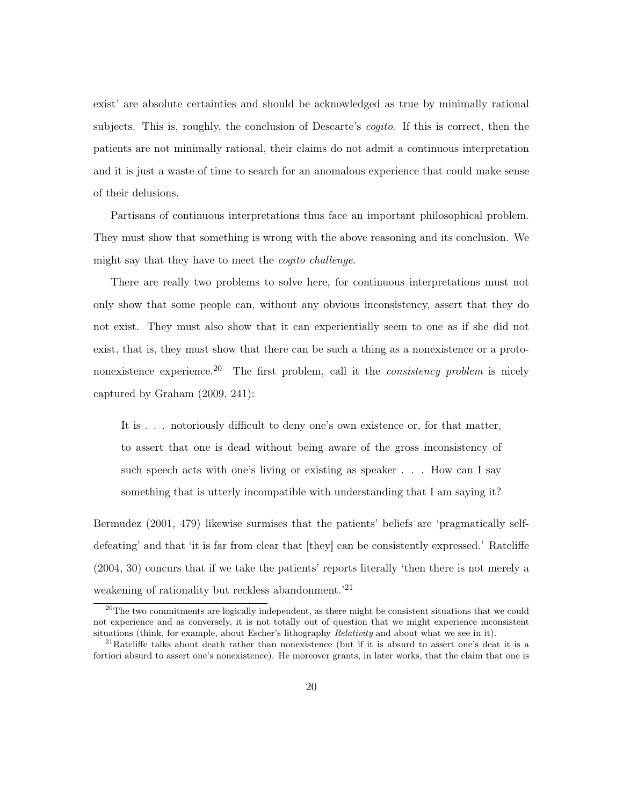exist' are absolute certainties and should be acknowledged as true by minimally rational subjects. This is, roughly, the conclusion of Descarte's *cogito*. If this is correct, then the patients are not minimally rational, their claims do not admit a continuous interpretation and it is just a waste of time to search for an anomalous experience that could make sense of their delusions.

Partisans of continuous interpretations thus face an important philosophical problem. They must show that something is wrong with the above reasoning and its conclusion. We might say that they have to meet the *cogito challenge*.

There are really two problems to solve here, for continuous interpretations must not only show that some people can, without any obvious inconsistency, assert that they do not exist. They must also show that it can experientially seem to one as if she did not exist, that is, they must show that there can be such a thing as a nonexistence or a protononexistence experience.<sup>20</sup> The first problem, call it the *consistency problem* is nicely captured by Graham (2009, 241):

It is . . . notoriously difficult to deny one's own existence or, for that matter, to assert that one is dead without being aware of the gross inconsistency of such speech acts with one's living or existing as speaker . . . How can I say something that is utterly incompatible with understanding that I am saying it?

Bermudez (2001, 479) likewise surmises that the patients' beliefs are 'pragmatically selfdefeating' and that 'it is far from clear that [they] can be consistently expressed.' Ratcliffe (2004, 30) concurs that if we take the patients' reports literally 'then there is not merely a weakening of rationality but reckless abandonment.'<sup>21</sup>

 $20$ The two commitments are logically independent, as there might be consistent situations that we could not experience and as conversely, it is not totally out of question that we might experience inconsistent situations (think, for example, about Escher's lithography *Relativity* and about what we see in it).

<sup>&</sup>lt;sup>21</sup>Ratcliffe talks about death rather than nonexistence (but if it is absurd to assert one's deat it is a fortiori absurd to assert one's nonexistence). He moreover grants, in later works, that the claim that one is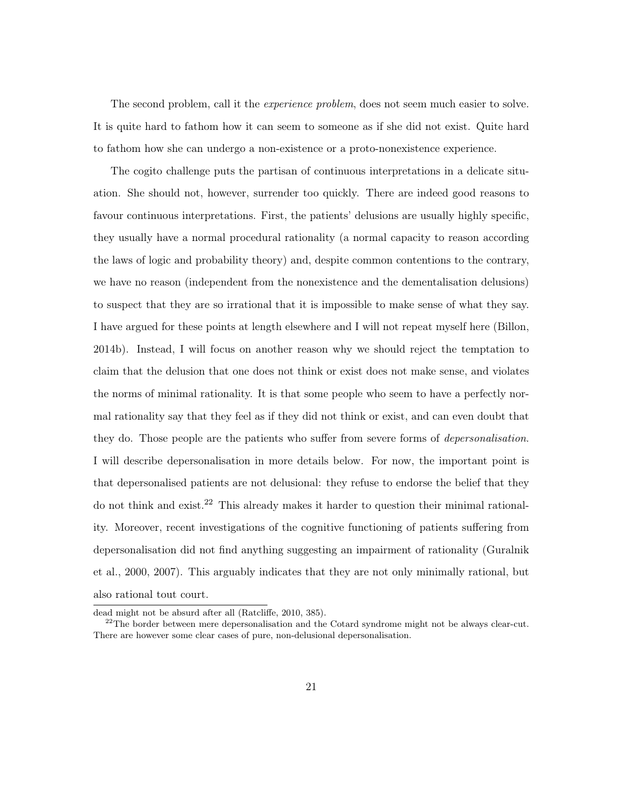The second problem, call it the *experience problem*, does not seem much easier to solve. It is quite hard to fathom how it can seem to someone as if she did not exist. Quite hard to fathom how she can undergo a non-existence or a proto-nonexistence experience.

The cogito challenge puts the partisan of continuous interpretations in a delicate situation. She should not, however, surrender too quickly. There are indeed good reasons to favour continuous interpretations. First, the patients' delusions are usually highly specific, they usually have a normal procedural rationality (a normal capacity to reason according the laws of logic and probability theory) and, despite common contentions to the contrary, we have no reason (independent from the nonexistence and the dementalisation delusions) to suspect that they are so irrational that it is impossible to make sense of what they say. I have argued for these points at length elsewhere and I will not repeat myself here (Billon, 2014b). Instead, I will focus on another reason why we should reject the temptation to claim that the delusion that one does not think or exist does not make sense, and violates the norms of minimal rationality. It is that some people who seem to have a perfectly normal rationality say that they feel as if they did not think or exist, and can even doubt that they do. Those people are the patients who suffer from severe forms of *depersonalisation*. I will describe depersonalisation in more details below. For now, the important point is that depersonalised patients are not delusional: they refuse to endorse the belief that they do not think and exist.<sup>22</sup> This already makes it harder to question their minimal rationality. Moreover, recent investigations of the cognitive functioning of patients suffering from depersonalisation did not find anything suggesting an impairment of rationality (Guralnik et al., 2000, 2007). This arguably indicates that they are not only minimally rational, but also rational tout court.

dead might not be absurd after all (Ratcliffe, 2010, 385).

 $^{22}$ The border between mere depersonalisation and the Cotard syndrome might not be always clear-cut. There are however some clear cases of pure, non-delusional depersonalisation.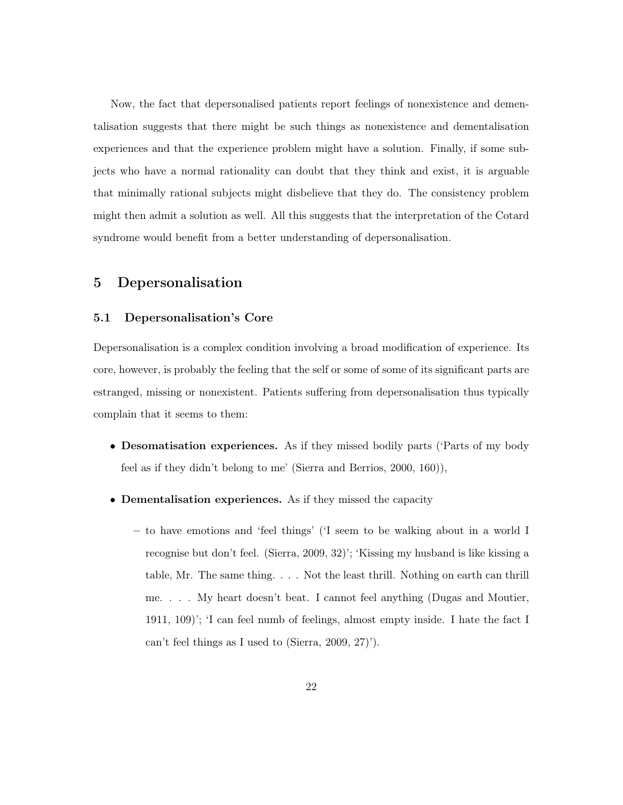Now, the fact that depersonalised patients report feelings of nonexistence and dementalisation suggests that there might be such things as nonexistence and dementalisation experiences and that the experience problem might have a solution. Finally, if some subjects who have a normal rationality can doubt that they think and exist, it is arguable that minimally rational subjects might disbelieve that they do. The consistency problem might then admit a solution as well. All this suggests that the interpretation of the Cotard syndrome would benefit from a better understanding of depersonalisation.

# 5 Depersonalisation

## 5.1 Depersonalisation's Core

Depersonalisation is a complex condition involving a broad modification of experience. Its core, however, is probably the feeling that the self or some of some of its significant parts are estranged, missing or nonexistent. Patients suffering from depersonalisation thus typically complain that it seems to them:

- Desomatisation experiences. As if they missed bodily parts ('Parts of my body feel as if they didn't belong to me' (Sierra and Berrios, 2000, 160)),
- Dementalisation experiences. As if they missed the capacity
	- to have emotions and 'feel things' ('I seem to be walking about in a world I recognise but don't feel. (Sierra, 2009, 32)'; 'Kissing my husband is like kissing a table, Mr. The same thing. . . . Not the least thrill. Nothing on earth can thrill me. . . . My heart doesn't beat. I cannot feel anything (Dugas and Moutier, 1911, 109)'; 'I can feel numb of feelings, almost empty inside. I hate the fact I can't feel things as I used to (Sierra, 2009, 27)').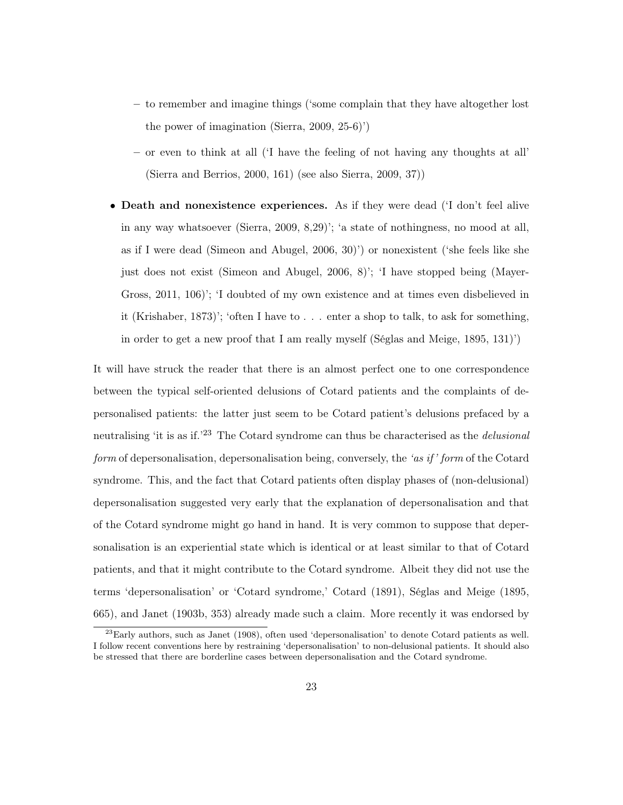- to remember and imagine things ('some complain that they have altogether lost the power of imagination (Sierra, 2009, 25-6)')
- or even to think at all ('I have the feeling of not having any thoughts at all' (Sierra and Berrios, 2000, 161) (see also Sierra, 2009, 37))
- Death and nonexistence experiences. As if they were dead ('I don't feel alive in any way whatsoever (Sierra, 2009, 8,29)'; 'a state of nothingness, no mood at all, as if I were dead (Simeon and Abugel, 2006, 30)') or nonexistent ('she feels like she just does not exist (Simeon and Abugel, 2006, 8)'; 'I have stopped being (Mayer-Gross, 2011, 106)'; 'I doubted of my own existence and at times even disbelieved in it (Krishaber, 1873)'; 'often I have to . . . enter a shop to talk, to ask for something, in order to get a new proof that I am really myself (Séglas and Meige, 1895, 131)')

It will have struck the reader that there is an almost perfect one to one correspondence between the typical self-oriented delusions of Cotard patients and the complaints of depersonalised patients: the latter just seem to be Cotard patient's delusions prefaced by a neutralising 'it is as if.'<sup>23</sup> The Cotard syndrome can thus be characterised as the *delusional form* of depersonalisation, depersonalisation being, conversely, the *'as if ' form* of the Cotard syndrome. This, and the fact that Cotard patients often display phases of (non-delusional) depersonalisation suggested very early that the explanation of depersonalisation and that of the Cotard syndrome might go hand in hand. It is very common to suppose that depersonalisation is an experiential state which is identical or at least similar to that of Cotard patients, and that it might contribute to the Cotard syndrome. Albeit they did not use the terms 'depersonalisation' or 'Cotard syndrome,' Cotard (1891), Séglas and Meige (1895, 665), and Janet (1903b, 353) already made such a claim. More recently it was endorsed by

 $^{23}$ Early authors, such as Janet (1908), often used 'depersonalisation' to denote Cotard patients as well. I follow recent conventions here by restraining 'depersonalisation' to non-delusional patients. It should also be stressed that there are borderline cases between depersonalisation and the Cotard syndrome.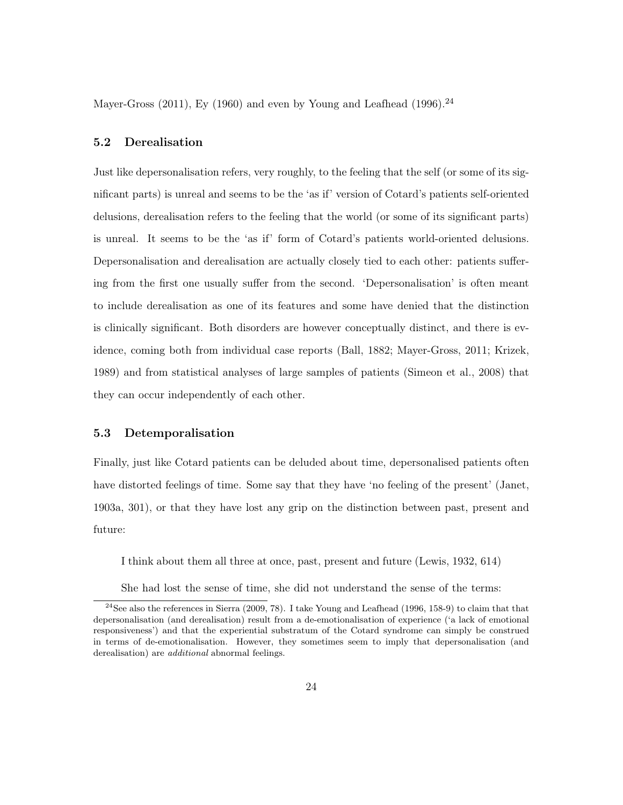Mayer-Gross  $(2011)$ , Ey  $(1960)$  and even by Young and Leafhead  $(1996)$ .<sup>24</sup>

## 5.2 Derealisation

Just like depersonalisation refers, very roughly, to the feeling that the self (or some of its significant parts) is unreal and seems to be the 'as if' version of Cotard's patients self-oriented delusions, derealisation refers to the feeling that the world (or some of its significant parts) is unreal. It seems to be the 'as if' form of Cotard's patients world-oriented delusions. Depersonalisation and derealisation are actually closely tied to each other: patients suffering from the first one usually suffer from the second. 'Depersonalisation' is often meant to include derealisation as one of its features and some have denied that the distinction is clinically significant. Both disorders are however conceptually distinct, and there is evidence, coming both from individual case reports (Ball, 1882; Mayer-Gross, 2011; Krizek, 1989) and from statistical analyses of large samples of patients (Simeon et al., 2008) that they can occur independently of each other.

#### 5.3 Detemporalisation

Finally, just like Cotard patients can be deluded about time, depersonalised patients often have distorted feelings of time. Some say that they have 'no feeling of the present' (Janet, 1903a, 301), or that they have lost any grip on the distinction between past, present and future:

I think about them all three at once, past, present and future (Lewis, 1932, 614)

She had lost the sense of time, she did not understand the sense of the terms:

 $24$ See also the references in Sierra (2009, 78). I take Young and Leafhead (1996, 158-9) to claim that that depersonalisation (and derealisation) result from a de-emotionalisation of experience ('a lack of emotional responsiveness') and that the experiential substratum of the Cotard syndrome can simply be construed in terms of de-emotionalisation. However, they sometimes seem to imply that depersonalisation (and derealisation) are *additional* abnormal feelings.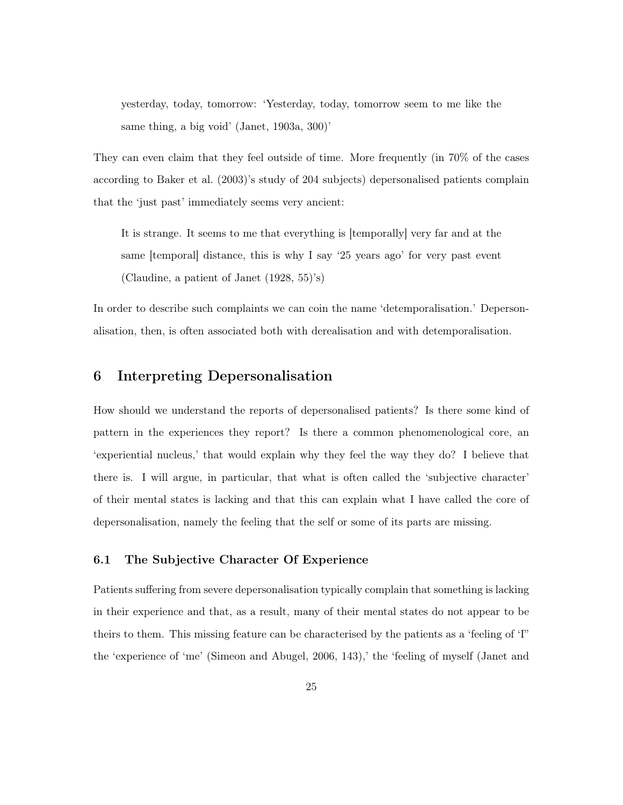yesterday, today, tomorrow: 'Yesterday, today, tomorrow seem to me like the same thing, a big void' (Janet, 1903a, 300)'

They can even claim that they feel outside of time. More frequently (in 70% of the cases according to Baker et al. (2003)'s study of 204 subjects) depersonalised patients complain that the 'just past' immediately seems very ancient:

It is strange. It seems to me that everything is [temporally] very far and at the same [temporal] distance, this is why I say '25 years ago' for very past event (Claudine, a patient of Janet (1928, 55)'s)

In order to describe such complaints we can coin the name 'detemporalisation.' Depersonalisation, then, is often associated both with derealisation and with detemporalisation.

# 6 Interpreting Depersonalisation

How should we understand the reports of depersonalised patients? Is there some kind of pattern in the experiences they report? Is there a common phenomenological core, an 'experiential nucleus,' that would explain why they feel the way they do? I believe that there is. I will argue, in particular, that what is often called the 'subjective character' of their mental states is lacking and that this can explain what I have called the core of depersonalisation, namely the feeling that the self or some of its parts are missing.

#### 6.1 The Subjective Character Of Experience

Patients suffering from severe depersonalisation typically complain that something is lacking in their experience and that, as a result, many of their mental states do not appear to be theirs to them. This missing feature can be characterised by the patients as a 'feeling of 'I" the 'experience of 'me' (Simeon and Abugel, 2006, 143),' the 'feeling of myself (Janet and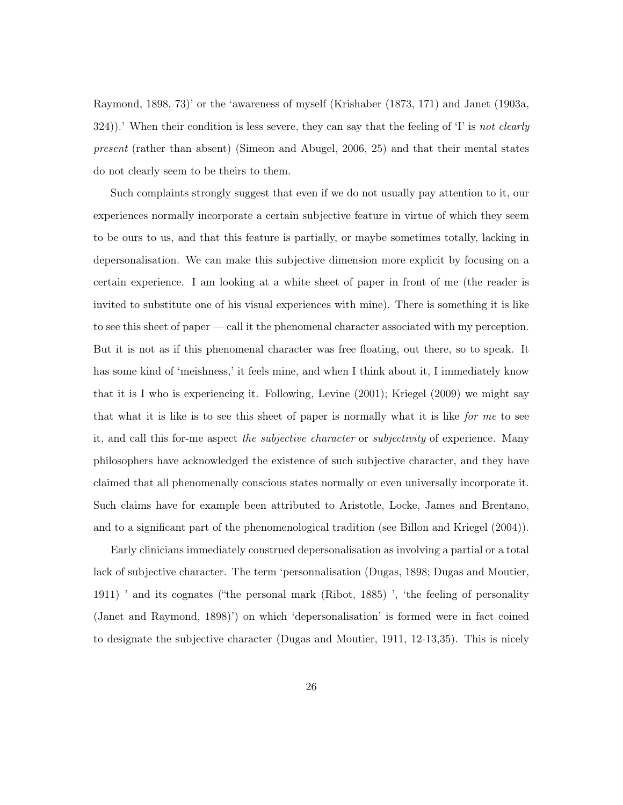Raymond, 1898, 73)' or the 'awareness of myself (Krishaber (1873, 171) and Janet (1903a, 324)).' When their condition is less severe, they can say that the feeling of 'I' is *not clearly present* (rather than absent) (Simeon and Abugel, 2006, 25) and that their mental states do not clearly seem to be theirs to them.

Such complaints strongly suggest that even if we do not usually pay attention to it, our experiences normally incorporate a certain subjective feature in virtue of which they seem to be ours to us, and that this feature is partially, or maybe sometimes totally, lacking in depersonalisation. We can make this subjective dimension more explicit by focusing on a certain experience. I am looking at a white sheet of paper in front of me (the reader is invited to substitute one of his visual experiences with mine). There is something it is like to see this sheet of paper — call it the phenomenal character associated with my perception. But it is not as if this phenomenal character was free floating, out there, so to speak. It has some kind of 'meishness,' it feels mine, and when I think about it, I immediately know that it is I who is experiencing it. Following, Levine (2001); Kriegel (2009) we might say that what it is like is to see this sheet of paper is normally what it is like *for me* to see it, and call this for-me aspect *the subjective character* or *subjectivity* of experience. Many philosophers have acknowledged the existence of such subjective character, and they have claimed that all phenomenally conscious states normally or even universally incorporate it. Such claims have for example been attributed to Aristotle, Locke, James and Brentano, and to a significant part of the phenomenological tradition (see Billon and Kriegel (2004)).

Early clinicians immediately construed depersonalisation as involving a partial or a total lack of subjective character. The term 'personnalisation (Dugas, 1898; Dugas and Moutier, 1911) ' and its cognates ("the personal mark (Ribot, 1885) ', 'the feeling of personality (Janet and Raymond, 1898)') on which 'depersonalisation' is formed were in fact coined to designate the subjective character (Dugas and Moutier, 1911, 12-13,35). This is nicely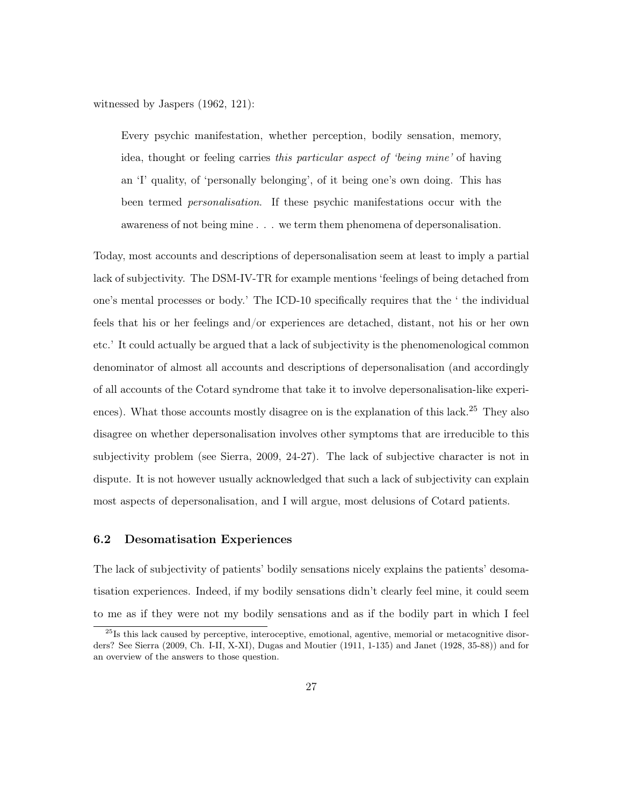witnessed by Jaspers (1962, 121):

Every psychic manifestation, whether perception, bodily sensation, memory, idea, thought or feeling carries *this particular aspect of 'being mine'* of having an 'I' quality, of 'personally belonging', of it being one's own doing. This has been termed *personalisation*. If these psychic manifestations occur with the awareness of not being mine . . . we term them phenomena of depersonalisation.

Today, most accounts and descriptions of depersonalisation seem at least to imply a partial lack of subjectivity. The DSM-IV-TR for example mentions 'feelings of being detached from one's mental processes or body.' The ICD-10 specifically requires that the ' the individual feels that his or her feelings and/or experiences are detached, distant, not his or her own etc.' It could actually be argued that a lack of subjectivity is the phenomenological common denominator of almost all accounts and descriptions of depersonalisation (and accordingly of all accounts of the Cotard syndrome that take it to involve depersonalisation-like experiences). What those accounts mostly disagree on is the explanation of this lack.<sup>25</sup> They also disagree on whether depersonalisation involves other symptoms that are irreducible to this subjectivity problem (see Sierra, 2009, 24-27). The lack of subjective character is not in dispute. It is not however usually acknowledged that such a lack of subjectivity can explain most aspects of depersonalisation, and I will argue, most delusions of Cotard patients.

#### 6.2 Desomatisation Experiences

The lack of subjectivity of patients' bodily sensations nicely explains the patients' desomatisation experiences. Indeed, if my bodily sensations didn't clearly feel mine, it could seem to me as if they were not my bodily sensations and as if the bodily part in which I feel

 $^{25}$ Is this lack caused by perceptive, interoceptive, emotional, agentive, memorial or metacognitive disorders? See Sierra (2009, Ch. I-II, X-XI), Dugas and Moutier (1911, 1-135) and Janet (1928, 35-88)) and for an overview of the answers to those question.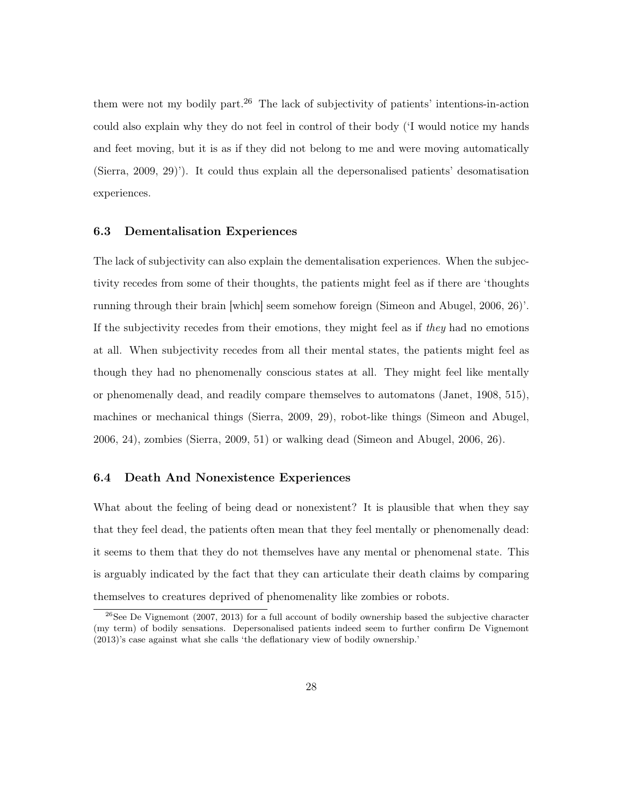them were not my bodily part.<sup>26</sup> The lack of subjectivity of patients' intentions-in-action could also explain why they do not feel in control of their body ('I would notice my hands and feet moving, but it is as if they did not belong to me and were moving automatically (Sierra, 2009, 29)'). It could thus explain all the depersonalised patients' desomatisation experiences.

## 6.3 Dementalisation Experiences

The lack of subjectivity can also explain the dementalisation experiences. When the subjectivity recedes from some of their thoughts, the patients might feel as if there are 'thoughts running through their brain [which] seem somehow foreign (Simeon and Abugel, 2006, 26)'. If the subjectivity recedes from their emotions, they might feel as if *they* had no emotions at all. When subjectivity recedes from all their mental states, the patients might feel as though they had no phenomenally conscious states at all. They might feel like mentally or phenomenally dead, and readily compare themselves to automatons (Janet, 1908, 515), machines or mechanical things (Sierra, 2009, 29), robot-like things (Simeon and Abugel, 2006, 24), zombies (Sierra, 2009, 51) or walking dead (Simeon and Abugel, 2006, 26).

### 6.4 Death And Nonexistence Experiences

What about the feeling of being dead or nonexistent? It is plausible that when they say that they feel dead, the patients often mean that they feel mentally or phenomenally dead: it seems to them that they do not themselves have any mental or phenomenal state. This is arguably indicated by the fact that they can articulate their death claims by comparing themselves to creatures deprived of phenomenality like zombies or robots.

 $^{26}$ See De Vignemont (2007, 2013) for a full account of bodily ownership based the subjective character (my term) of bodily sensations. Depersonalised patients indeed seem to further confirm De Vignemont (2013)'s case against what she calls 'the deflationary view of bodily ownership.'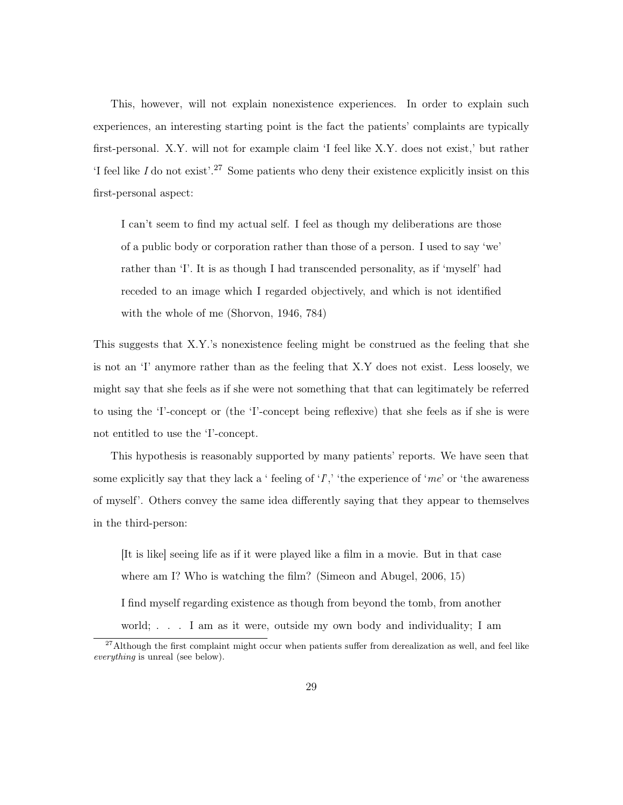This, however, will not explain nonexistence experiences. In order to explain such experiences, an interesting starting point is the fact the patients' complaints are typically first-personal. X.Y. will not for example claim 'I feel like X.Y. does not exist,' but rather <sup>'</sup>I feel like *I* do not exist'.<sup>27</sup> Some patients who deny their existence explicitly insist on this first-personal aspect:

I can't seem to find my actual self. I feel as though my deliberations are those of a public body or corporation rather than those of a person. I used to say 'we' rather than 'I'. It is as though I had transcended personality, as if 'myself' had receded to an image which I regarded objectively, and which is not identified with the whole of me (Shorvon, 1946, 784)

This suggests that X.Y.'s nonexistence feeling might be construed as the feeling that she is not an 'I' anymore rather than as the feeling that X.Y does not exist. Less loosely, we might say that she feels as if she were not something that that can legitimately be referred to using the 'I'-concept or (the 'I'-concept being reflexive) that she feels as if she is were not entitled to use the 'I'-concept.

This hypothesis is reasonably supported by many patients' reports. We have seen that some explicitly say that they lack a ' feeling of '*I*',' 'the experience of '*me*' or 'the awareness of myself'. Others convey the same idea differently saying that they appear to themselves in the third-person:

[It is like] seeing life as if it were played like a film in a movie. But in that case where am I? Who is watching the film? (Simeon and Abugel, 2006, 15)

I find myself regarding existence as though from beyond the tomb, from another world; . . . I am as it were, outside my own body and individuality; I am

 $27$ Although the first complaint might occur when patients suffer from derealization as well, and feel like *everything* is unreal (see below).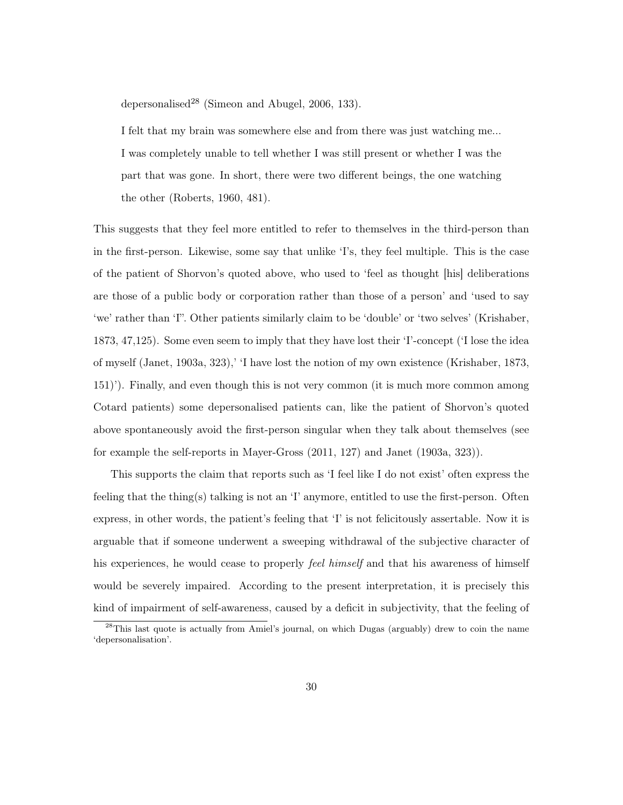depersonalised<sup>28</sup> (Simeon and Abugel, 2006, 133).

I felt that my brain was somewhere else and from there was just watching me... I was completely unable to tell whether I was still present or whether I was the part that was gone. In short, there were two different beings, the one watching the other (Roberts, 1960, 481).

This suggests that they feel more entitled to refer to themselves in the third-person than in the first-person. Likewise, some say that unlike 'I's, they feel multiple. This is the case of the patient of Shorvon's quoted above, who used to 'feel as thought [his] deliberations are those of a public body or corporation rather than those of a person' and 'used to say 'we' rather than 'I". Other patients similarly claim to be 'double' or 'two selves' (Krishaber, 1873, 47,125). Some even seem to imply that they have lost their 'I'-concept ('I lose the idea of myself (Janet, 1903a, 323),' 'I have lost the notion of my own existence (Krishaber, 1873, 151)'). Finally, and even though this is not very common (it is much more common among Cotard patients) some depersonalised patients can, like the patient of Shorvon's quoted above spontaneously avoid the first-person singular when they talk about themselves (see for example the self-reports in Mayer-Gross (2011, 127) and Janet (1903a, 323)).

This supports the claim that reports such as 'I feel like I do not exist' often express the feeling that the thing(s) talking is not an 'I' anymore, entitled to use the first-person. Often express, in other words, the patient's feeling that 'I' is not felicitously assertable. Now it is arguable that if someone underwent a sweeping withdrawal of the subjective character of his experiences, he would cease to properly *feel himself* and that his awareness of himself would be severely impaired. According to the present interpretation, it is precisely this kind of impairment of self-awareness, caused by a deficit in subjectivity, that the feeling of

<sup>&</sup>lt;sup>28</sup>This last quote is actually from Amiel's journal, on which Dugas (arguably) drew to coin the name 'depersonalisation'.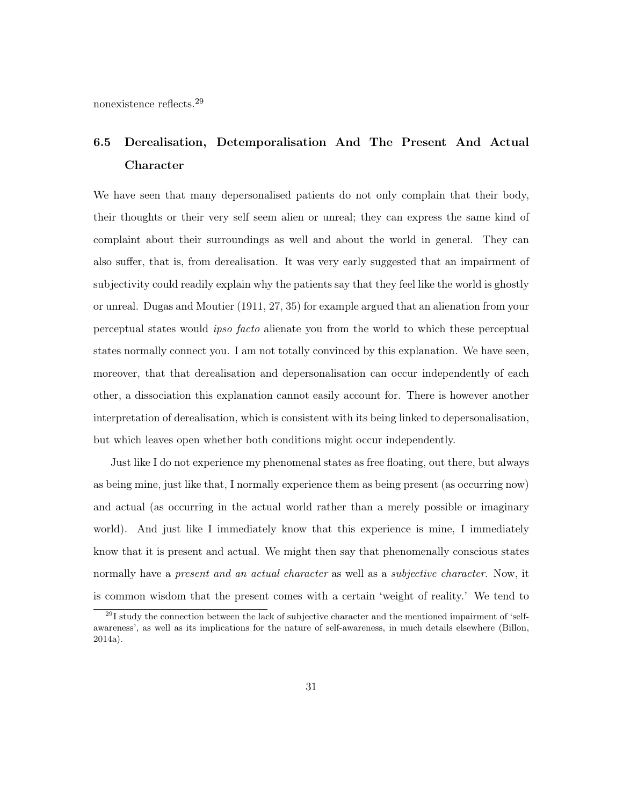nonexistence reflects.<sup>29</sup>

# 6.5 Derealisation, Detemporalisation And The Present And Actual Character

We have seen that many depersonalised patients do not only complain that their body, their thoughts or their very self seem alien or unreal; they can express the same kind of complaint about their surroundings as well and about the world in general. They can also suffer, that is, from derealisation. It was very early suggested that an impairment of subjectivity could readily explain why the patients say that they feel like the world is ghostly or unreal. Dugas and Moutier (1911, 27, 35) for example argued that an alienation from your perceptual states would *ipso facto* alienate you from the world to which these perceptual states normally connect you. I am not totally convinced by this explanation. We have seen, moreover, that that derealisation and depersonalisation can occur independently of each other, a dissociation this explanation cannot easily account for. There is however another interpretation of derealisation, which is consistent with its being linked to depersonalisation, but which leaves open whether both conditions might occur independently.

Just like I do not experience my phenomenal states as free floating, out there, but always as being mine, just like that, I normally experience them as being present (as occurring now) and actual (as occurring in the actual world rather than a merely possible or imaginary world). And just like I immediately know that this experience is mine, I immediately know that it is present and actual. We might then say that phenomenally conscious states normally have a *present and an actual character* as well as a *subjective character*. Now, it is common wisdom that the present comes with a certain 'weight of reality.' We tend to

<sup>&</sup>lt;sup>29</sup>I study the connection between the lack of subjective character and the mentioned impairment of 'selfawareness', as well as its implications for the nature of self-awareness, in much details elsewhere (Billon, 2014a).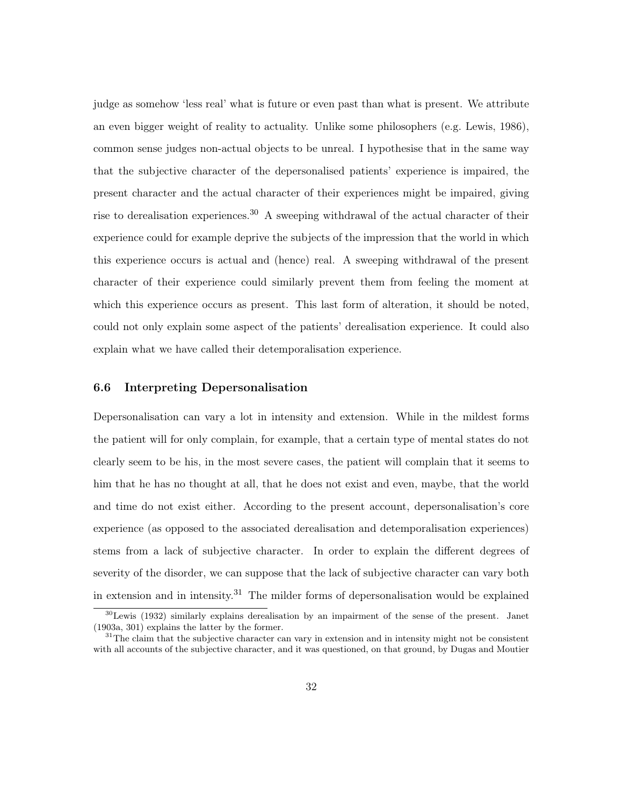judge as somehow 'less real' what is future or even past than what is present. We attribute an even bigger weight of reality to actuality. Unlike some philosophers (e.g. Lewis, 1986), common sense judges non-actual objects to be unreal. I hypothesise that in the same way that the subjective character of the depersonalised patients' experience is impaired, the present character and the actual character of their experiences might be impaired, giving rise to derealisation experiences.<sup>30</sup> A sweeping withdrawal of the actual character of their experience could for example deprive the subjects of the impression that the world in which this experience occurs is actual and (hence) real. A sweeping withdrawal of the present character of their experience could similarly prevent them from feeling the moment at which this experience occurs as present. This last form of alteration, it should be noted, could not only explain some aspect of the patients' derealisation experience. It could also explain what we have called their detemporalisation experience.

#### 6.6 Interpreting Depersonalisation

Depersonalisation can vary a lot in intensity and extension. While in the mildest forms the patient will for only complain, for example, that a certain type of mental states do not clearly seem to be his, in the most severe cases, the patient will complain that it seems to him that he has no thought at all, that he does not exist and even, maybe, that the world and time do not exist either. According to the present account, depersonalisation's core experience (as opposed to the associated derealisation and detemporalisation experiences) stems from a lack of subjective character. In order to explain the different degrees of severity of the disorder, we can suppose that the lack of subjective character can vary both in extension and in intensity.<sup>31</sup> The milder forms of depersonalisation would be explained

<sup>30</sup>Lewis (1932) similarly explains derealisation by an impairment of the sense of the present. Janet (1903a, 301) explains the latter by the former.

 $31$ The claim that the subjective character can vary in extension and in intensity might not be consistent with all accounts of the subjective character, and it was questioned, on that ground, by Dugas and Moutier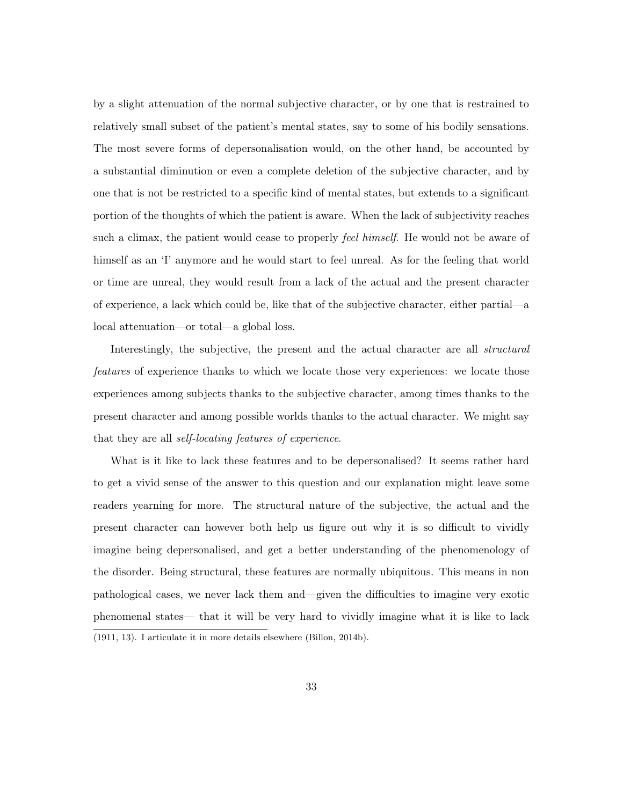by a slight attenuation of the normal subjective character, or by one that is restrained to relatively small subset of the patient's mental states, say to some of his bodily sensations. The most severe forms of depersonalisation would, on the other hand, be accounted by a substantial diminution or even a complete deletion of the subjective character, and by one that is not be restricted to a specific kind of mental states, but extends to a significant portion of the thoughts of which the patient is aware. When the lack of subjectivity reaches such a climax, the patient would cease to properly *feel himself*. He would not be aware of himself as an 'I' anymore and he would start to feel unreal. As for the feeling that world or time are unreal, they would result from a lack of the actual and the present character of experience, a lack which could be, like that of the subjective character, either partial—a local attenuation—or total—a global loss.

Interestingly, the subjective, the present and the actual character are all *structural features* of experience thanks to which we locate those very experiences: we locate those experiences among subjects thanks to the subjective character, among times thanks to the present character and among possible worlds thanks to the actual character. We might say that they are all *self-locating features of experience*.

What is it like to lack these features and to be depersonalised? It seems rather hard to get a vivid sense of the answer to this question and our explanation might leave some readers yearning for more. The structural nature of the subjective, the actual and the present character can however both help us figure out why it is so difficult to vividly imagine being depersonalised, and get a better understanding of the phenomenology of the disorder. Being structural, these features are normally ubiquitous. This means in non pathological cases, we never lack them and—given the difficulties to imagine very exotic phenomenal states— that it will be very hard to vividly imagine what it is like to lack (1911, 13). I articulate it in more details elsewhere (Billon, 2014b).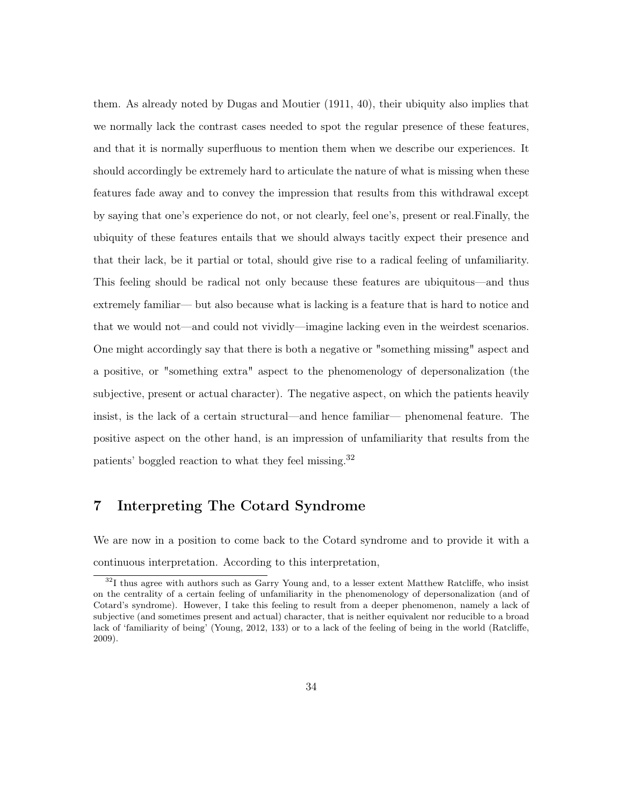them. As already noted by Dugas and Moutier (1911, 40), their ubiquity also implies that we normally lack the contrast cases needed to spot the regular presence of these features, and that it is normally superfluous to mention them when we describe our experiences. It should accordingly be extremely hard to articulate the nature of what is missing when these features fade away and to convey the impression that results from this withdrawal except by saying that one's experience do not, or not clearly, feel one's, present or real.Finally, the ubiquity of these features entails that we should always tacitly expect their presence and that their lack, be it partial or total, should give rise to a radical feeling of unfamiliarity. This feeling should be radical not only because these features are ubiquitous—and thus extremely familiar— but also because what is lacking is a feature that is hard to notice and that we would not—and could not vividly—imagine lacking even in the weirdest scenarios. One might accordingly say that there is both a negative or "something missing" aspect and a positive, or "something extra" aspect to the phenomenology of depersonalization (the subjective, present or actual character). The negative aspect, on which the patients heavily insist, is the lack of a certain structural—and hence familiar— phenomenal feature. The positive aspect on the other hand, is an impression of unfamiliarity that results from the patients' boggled reaction to what they feel missing.<sup>32</sup>

# 7 Interpreting The Cotard Syndrome

We are now in a position to come back to the Cotard syndrome and to provide it with a continuous interpretation. According to this interpretation,

 $32I$  thus agree with authors such as Garry Young and, to a lesser extent Matthew Ratcliffe, who insist on the centrality of a certain feeling of unfamiliarity in the phenomenology of depersonalization (and of Cotard's syndrome). However, I take this feeling to result from a deeper phenomenon, namely a lack of subjective (and sometimes present and actual) character, that is neither equivalent nor reducible to a broad lack of 'familiarity of being' (Young, 2012, 133) or to a lack of the feeling of being in the world (Ratcliffe, 2009).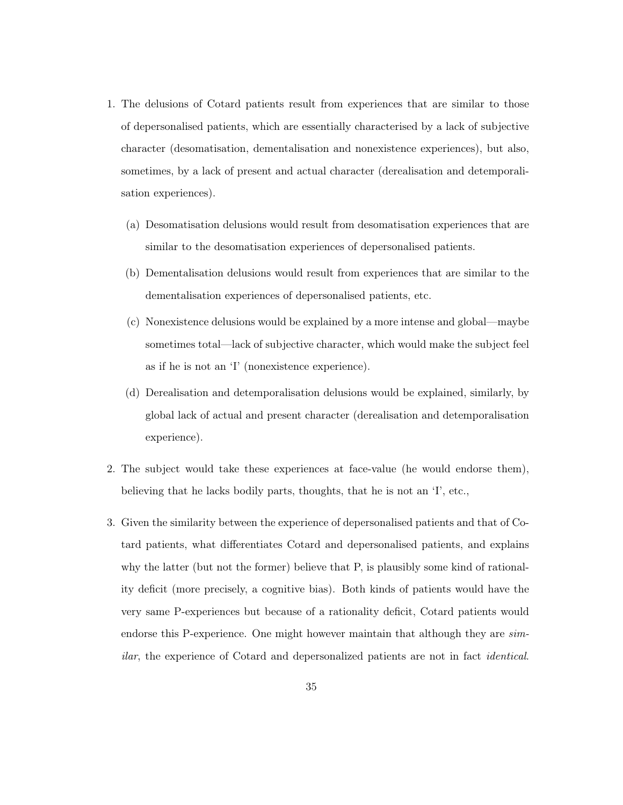- 1. The delusions of Cotard patients result from experiences that are similar to those of depersonalised patients, which are essentially characterised by a lack of subjective character (desomatisation, dementalisation and nonexistence experiences), but also, sometimes, by a lack of present and actual character (derealisation and detemporalisation experiences).
	- (a) Desomatisation delusions would result from desomatisation experiences that are similar to the desomatisation experiences of depersonalised patients.
	- (b) Dementalisation delusions would result from experiences that are similar to the dementalisation experiences of depersonalised patients, etc.
	- (c) Nonexistence delusions would be explained by a more intense and global—maybe sometimes total—lack of subjective character, which would make the subject feel as if he is not an 'I' (nonexistence experience).
	- (d) Derealisation and detemporalisation delusions would be explained, similarly, by global lack of actual and present character (derealisation and detemporalisation experience).
- 2. The subject would take these experiences at face-value (he would endorse them), believing that he lacks bodily parts, thoughts, that he is not an 'I', etc.,
- 3. Given the similarity between the experience of depersonalised patients and that of Cotard patients, what differentiates Cotard and depersonalised patients, and explains why the latter (but not the former) believe that P, is plausibly some kind of rationality deficit (more precisely, a cognitive bias). Both kinds of patients would have the very same P-experiences but because of a rationality deficit, Cotard patients would endorse this P-experience. One might however maintain that although they are *similar*, the experience of Cotard and depersonalized patients are not in fact *identical*.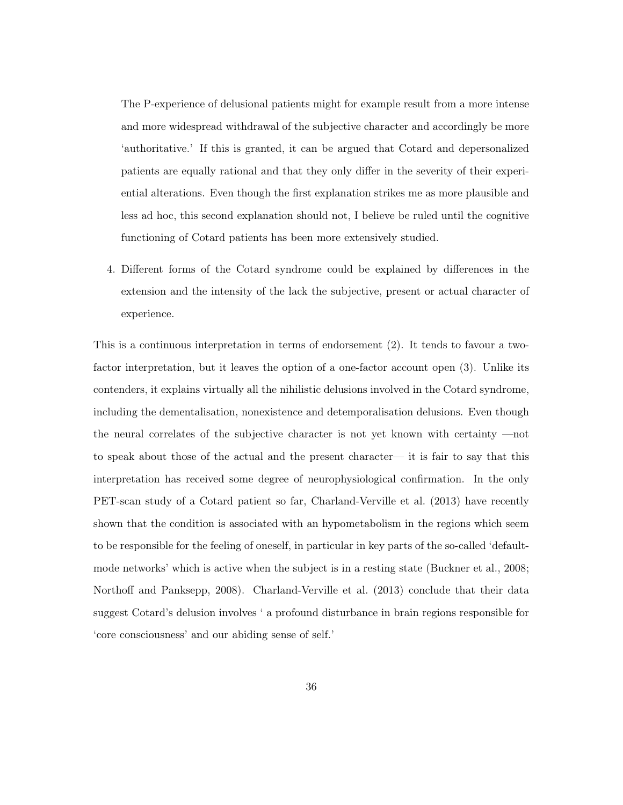The P-experience of delusional patients might for example result from a more intense and more widespread withdrawal of the subjective character and accordingly be more 'authoritative.' If this is granted, it can be argued that Cotard and depersonalized patients are equally rational and that they only differ in the severity of their experiential alterations. Even though the first explanation strikes me as more plausible and less ad hoc, this second explanation should not, I believe be ruled until the cognitive functioning of Cotard patients has been more extensively studied.

4. Different forms of the Cotard syndrome could be explained by differences in the extension and the intensity of the lack the subjective, present or actual character of experience.

This is a continuous interpretation in terms of endorsement (2). It tends to favour a twofactor interpretation, but it leaves the option of a one-factor account open (3). Unlike its contenders, it explains virtually all the nihilistic delusions involved in the Cotard syndrome, including the dementalisation, nonexistence and detemporalisation delusions. Even though the neural correlates of the subjective character is not yet known with certainty —not to speak about those of the actual and the present character— it is fair to say that this interpretation has received some degree of neurophysiological confirmation. In the only PET-scan study of a Cotard patient so far, Charland-Verville et al. (2013) have recently shown that the condition is associated with an hypometabolism in the regions which seem to be responsible for the feeling of oneself, in particular in key parts of the so-called 'defaultmode networks' which is active when the subject is in a resting state (Buckner et al., 2008; Northoff and Panksepp, 2008). Charland-Verville et al. (2013) conclude that their data suggest Cotard's delusion involves ' a profound disturbance in brain regions responsible for 'core consciousness' and our abiding sense of self.'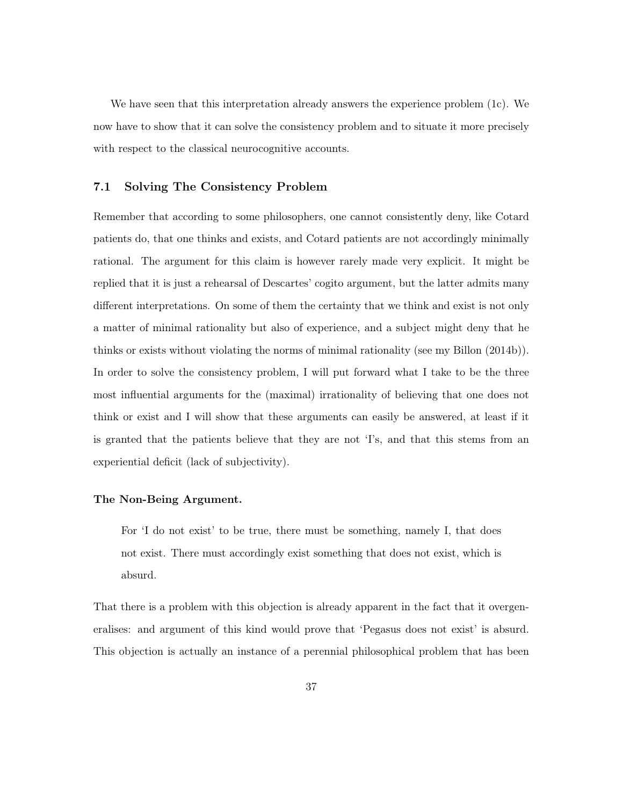We have seen that this interpretation already answers the experience problem (1c). We now have to show that it can solve the consistency problem and to situate it more precisely with respect to the classical neurocognitive accounts.

## 7.1 Solving The Consistency Problem

Remember that according to some philosophers, one cannot consistently deny, like Cotard patients do, that one thinks and exists, and Cotard patients are not accordingly minimally rational. The argument for this claim is however rarely made very explicit. It might be replied that it is just a rehearsal of Descartes' cogito argument, but the latter admits many different interpretations. On some of them the certainty that we think and exist is not only a matter of minimal rationality but also of experience, and a subject might deny that he thinks or exists without violating the norms of minimal rationality (see my Billon (2014b)). In order to solve the consistency problem, I will put forward what I take to be the three most influential arguments for the (maximal) irrationality of believing that one does not think or exist and I will show that these arguments can easily be answered, at least if it is granted that the patients believe that they are not 'I's, and that this stems from an experiential deficit (lack of subjectivity).

#### The Non-Being Argument.

For 'I do not exist' to be true, there must be something, namely I, that does not exist. There must accordingly exist something that does not exist, which is absurd.

That there is a problem with this objection is already apparent in the fact that it overgeneralises: and argument of this kind would prove that 'Pegasus does not exist' is absurd. This objection is actually an instance of a perennial philosophical problem that has been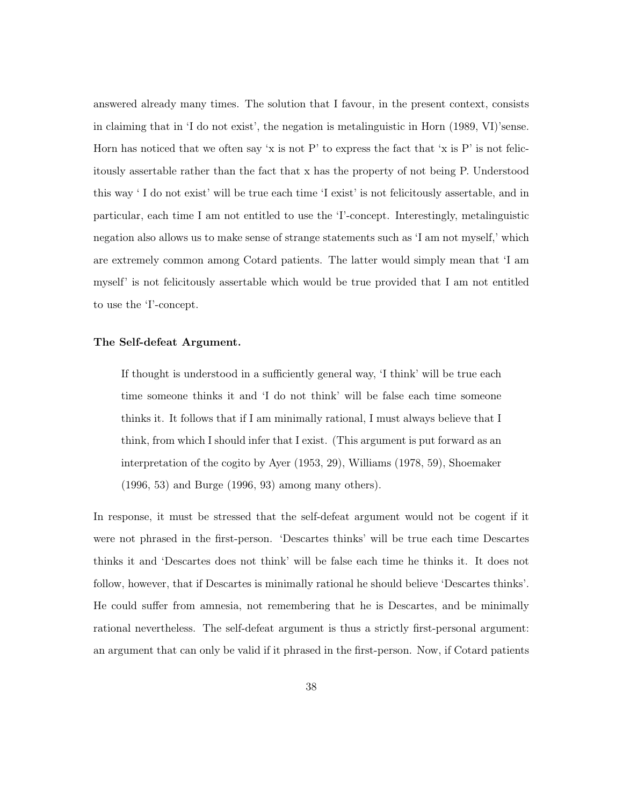answered already many times. The solution that I favour, in the present context, consists in claiming that in 'I do not exist', the negation is metalinguistic in Horn (1989, VI)'sense. Horn has noticed that we often say 'x is not  $P'$  to express the fact that 'x is  $P'$  is not felicitously assertable rather than the fact that x has the property of not being P. Understood this way ' I do not exist' will be true each time 'I exist' is not felicitously assertable, and in particular, each time I am not entitled to use the 'I'-concept. Interestingly, metalinguistic negation also allows us to make sense of strange statements such as 'I am not myself,' which are extremely common among Cotard patients. The latter would simply mean that 'I am myself' is not felicitously assertable which would be true provided that I am not entitled to use the 'I'-concept.

#### The Self-defeat Argument.

If thought is understood in a sufficiently general way, 'I think' will be true each time someone thinks it and 'I do not think' will be false each time someone thinks it. It follows that if I am minimally rational, I must always believe that I think, from which I should infer that I exist. (This argument is put forward as an interpretation of the cogito by Ayer (1953, 29), Williams (1978, 59), Shoemaker (1996, 53) and Burge (1996, 93) among many others).

In response, it must be stressed that the self-defeat argument would not be cogent if it were not phrased in the first-person. 'Descartes thinks' will be true each time Descartes thinks it and 'Descartes does not think' will be false each time he thinks it. It does not follow, however, that if Descartes is minimally rational he should believe 'Descartes thinks'. He could suffer from amnesia, not remembering that he is Descartes, and be minimally rational nevertheless. The self-defeat argument is thus a strictly first-personal argument: an argument that can only be valid if it phrased in the first-person. Now, if Cotard patients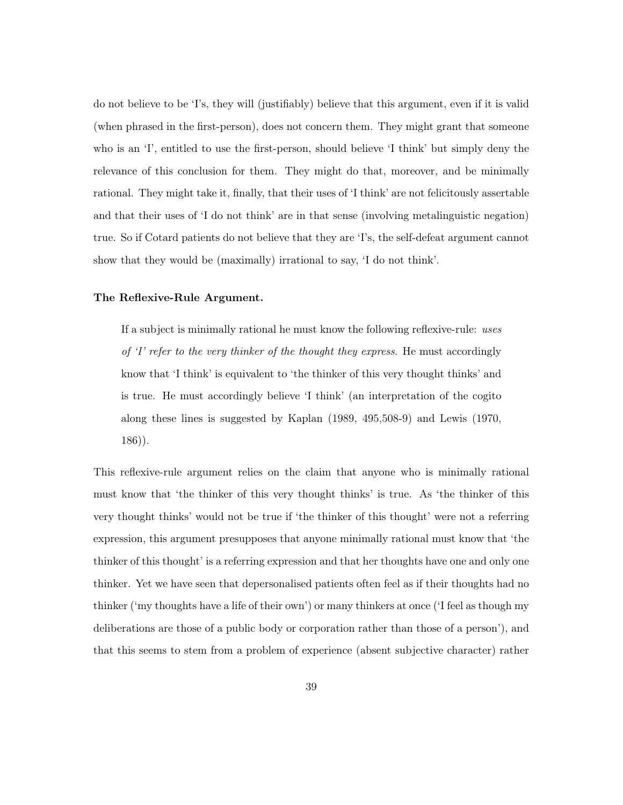do not believe to be 'I's, they will (justifiably) believe that this argument, even if it is valid (when phrased in the first-person), does not concern them. They might grant that someone who is an 'I', entitled to use the first-person, should believe 'I think' but simply deny the relevance of this conclusion for them. They might do that, moreover, and be minimally rational. They might take it, finally, that their uses of 'I think' are not felicitously assertable and that their uses of 'I do not think' are in that sense (involving metalinguistic negation) true. So if Cotard patients do not believe that they are 'I's, the self-defeat argument cannot show that they would be (maximally) irrational to say, 'I do not think'.

#### The Reflexive-Rule Argument.

If a subject is minimally rational he must know the following reflexive-rule: *uses of 'I' refer to the very thinker of the thought they express*. He must accordingly know that 'I think' is equivalent to 'the thinker of this very thought thinks' and is true. He must accordingly believe 'I think' (an interpretation of the cogito along these lines is suggested by Kaplan (1989, 495,508-9) and Lewis (1970, 186)).

This reflexive-rule argument relies on the claim that anyone who is minimally rational must know that 'the thinker of this very thought thinks' is true. As 'the thinker of this very thought thinks' would not be true if 'the thinker of this thought' were not a referring expression, this argument presupposes that anyone minimally rational must know that 'the thinker of this thought' is a referring expression and that her thoughts have one and only one thinker. Yet we have seen that depersonalised patients often feel as if their thoughts had no thinker ('my thoughts have a life of their own') or many thinkers at once ('I feel as though my deliberations are those of a public body or corporation rather than those of a person'), and that this seems to stem from a problem of experience (absent subjective character) rather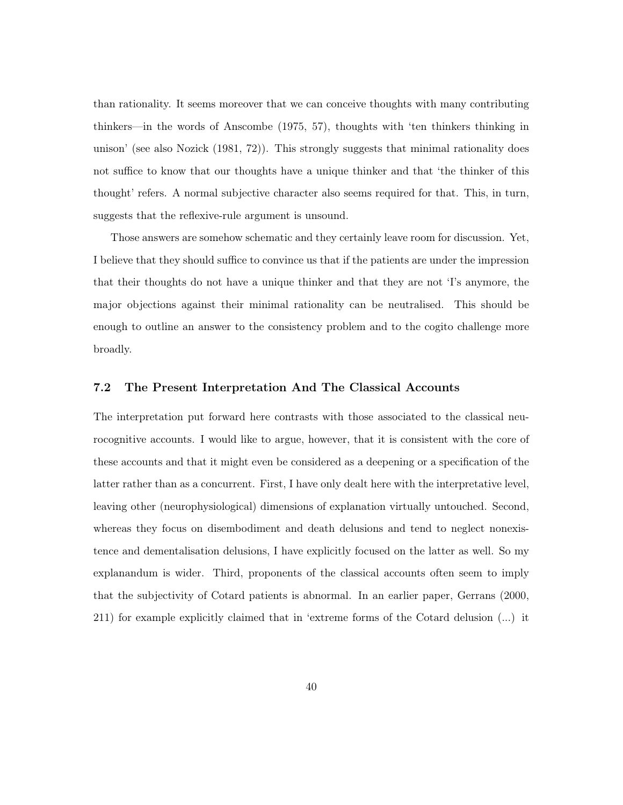than rationality. It seems moreover that we can conceive thoughts with many contributing thinkers—in the words of Anscombe (1975, 57), thoughts with 'ten thinkers thinking in unison' (see also Nozick (1981, 72)). This strongly suggests that minimal rationality does not suffice to know that our thoughts have a unique thinker and that 'the thinker of this thought' refers. A normal subjective character also seems required for that. This, in turn, suggests that the reflexive-rule argument is unsound.

Those answers are somehow schematic and they certainly leave room for discussion. Yet, I believe that they should suffice to convince us that if the patients are under the impression that their thoughts do not have a unique thinker and that they are not 'I's anymore, the major objections against their minimal rationality can be neutralised. This should be enough to outline an answer to the consistency problem and to the cogito challenge more broadly.

#### 7.2 The Present Interpretation And The Classical Accounts

The interpretation put forward here contrasts with those associated to the classical neurocognitive accounts. I would like to argue, however, that it is consistent with the core of these accounts and that it might even be considered as a deepening or a specification of the latter rather than as a concurrent. First, I have only dealt here with the interpretative level, leaving other (neurophysiological) dimensions of explanation virtually untouched. Second, whereas they focus on disembodiment and death delusions and tend to neglect nonexistence and dementalisation delusions, I have explicitly focused on the latter as well. So my explanandum is wider. Third, proponents of the classical accounts often seem to imply that the subjectivity of Cotard patients is abnormal. In an earlier paper, Gerrans (2000, 211) for example explicitly claimed that in 'extreme forms of the Cotard delusion (...) it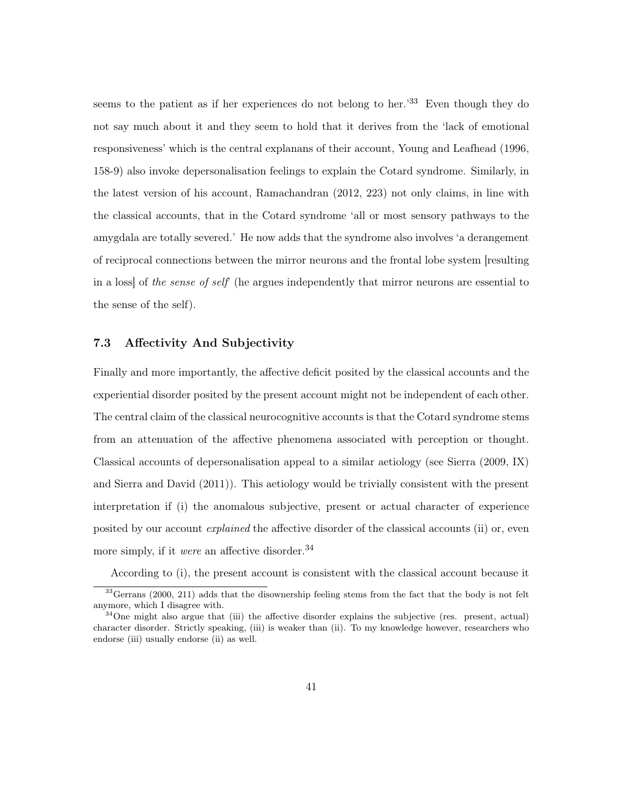seems to the patient as if her experiences do not belong to her.<sup>33</sup> Even though they do not say much about it and they seem to hold that it derives from the 'lack of emotional responsiveness' which is the central explanans of their account, Young and Leafhead (1996, 158-9) also invoke depersonalisation feelings to explain the Cotard syndrome. Similarly, in the latest version of his account, Ramachandran (2012, 223) not only claims, in line with the classical accounts, that in the Cotard syndrome 'all or most sensory pathways to the amygdala are totally severed.' He now adds that the syndrome also involves 'a derangement of reciprocal connections between the mirror neurons and the frontal lobe system [resulting in a loss] of *the sense of self*' (he argues independently that mirror neurons are essential to the sense of the self).

## 7.3 Affectivity And Subjectivity

Finally and more importantly, the affective deficit posited by the classical accounts and the experiential disorder posited by the present account might not be independent of each other. The central claim of the classical neurocognitive accounts is that the Cotard syndrome stems from an attenuation of the affective phenomena associated with perception or thought. Classical accounts of depersonalisation appeal to a similar aetiology (see Sierra (2009, IX) and Sierra and David (2011)). This aetiology would be trivially consistent with the present interpretation if (i) the anomalous subjective, present or actual character of experience posited by our account *explained* the affective disorder of the classical accounts (ii) or, even more simply, if it *were* an affective disorder.<sup>34</sup>

According to (i), the present account is consistent with the classical account because it

<sup>&</sup>lt;sup>33</sup>Gerrans (2000, 211) adds that the disownership feeling stems from the fact that the body is not felt anymore, which I disagree with.

 $34$ One might also argue that (iii) the affective disorder explains the subjective (res. present, actual) character disorder. Strictly speaking, (iii) is weaker than (ii). To my knowledge however, researchers who endorse (iii) usually endorse (ii) as well.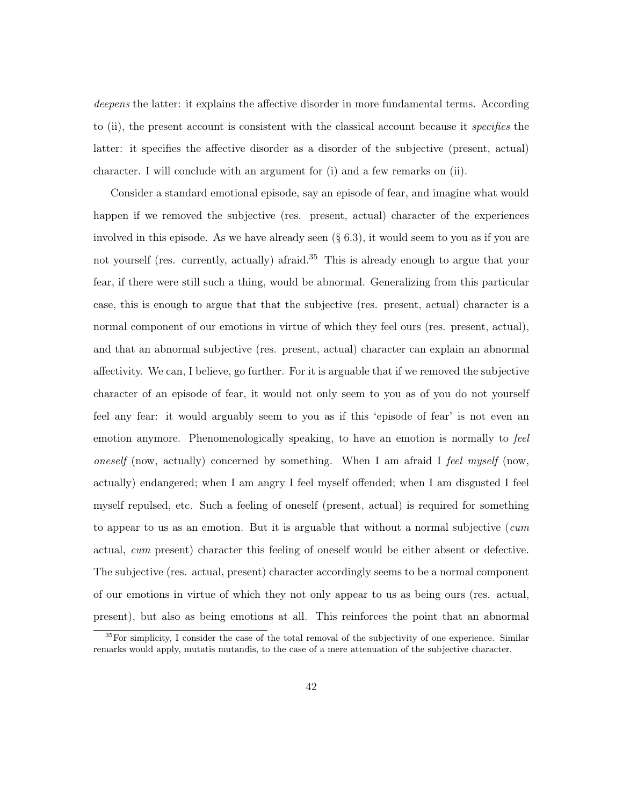*deepens* the latter: it explains the affective disorder in more fundamental terms. According to (ii), the present account is consistent with the classical account because it *specifies* the latter: it specifies the affective disorder as a disorder of the subjective (present, actual) character. I will conclude with an argument for (i) and a few remarks on (ii).

Consider a standard emotional episode, say an episode of fear, and imagine what would happen if we removed the subjective (res. present, actual) character of the experiences involved in this episode. As we have already seen  $(\S 6.3)$ , it would seem to you as if you are not yourself (res. currently, actually) afraid.<sup>35</sup> This is already enough to argue that your fear, if there were still such a thing, would be abnormal. Generalizing from this particular case, this is enough to argue that that the subjective (res. present, actual) character is a normal component of our emotions in virtue of which they feel ours (res. present, actual), and that an abnormal subjective (res. present, actual) character can explain an abnormal affectivity. We can, I believe, go further. For it is arguable that if we removed the subjective character of an episode of fear, it would not only seem to you as of you do not yourself feel any fear: it would arguably seem to you as if this 'episode of fear' is not even an emotion anymore. Phenomenologically speaking, to have an emotion is normally to *feel oneself* (now, actually) concerned by something. When I am afraid I *feel myself* (now, actually) endangered; when I am angry I feel myself offended; when I am disgusted I feel myself repulsed, etc. Such a feeling of oneself (present, actual) is required for something to appear to us as an emotion. But it is arguable that without a normal subjective (*cum* actual, *cum* present) character this feeling of oneself would be either absent or defective. The subjective (res. actual, present) character accordingly seems to be a normal component of our emotions in virtue of which they not only appear to us as being ours (res. actual, present), but also as being emotions at all. This reinforces the point that an abnormal

 $35$  For simplicity, I consider the case of the total removal of the subjectivity of one experience. Similar remarks would apply, mutatis mutandis, to the case of a mere attenuation of the subjective character.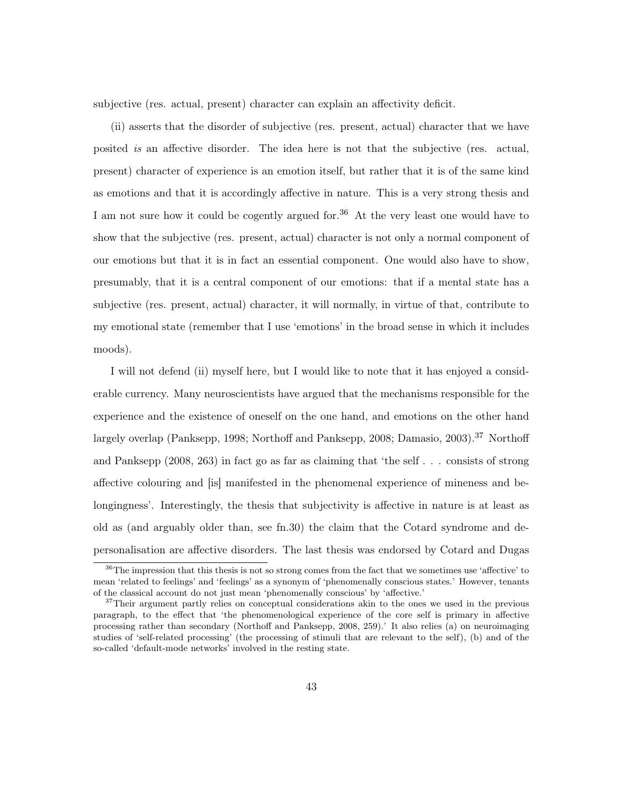subjective (res. actual, present) character can explain an affectivity deficit.

(ii) asserts that the disorder of subjective (res. present, actual) character that we have posited *is* an affective disorder. The idea here is not that the subjective (res. actual, present) character of experience is an emotion itself, but rather that it is of the same kind as emotions and that it is accordingly affective in nature. This is a very strong thesis and I am not sure how it could be cogently argued for.<sup>36</sup> At the very least one would have to show that the subjective (res. present, actual) character is not only a normal component of our emotions but that it is in fact an essential component. One would also have to show, presumably, that it is a central component of our emotions: that if a mental state has a subjective (res. present, actual) character, it will normally, in virtue of that, contribute to my emotional state (remember that I use 'emotions' in the broad sense in which it includes moods).

I will not defend (ii) myself here, but I would like to note that it has enjoyed a considerable currency. Many neuroscientists have argued that the mechanisms responsible for the experience and the existence of oneself on the one hand, and emotions on the other hand largely overlap (Panksepp, 1998; Northoff and Panksepp, 2008; Damasio, 2003).<sup>37</sup> Northoff and Panksepp (2008, 263) in fact go as far as claiming that 'the self . . . consists of strong affective colouring and [is] manifested in the phenomenal experience of mineness and belongingness'. Interestingly, the thesis that subjectivity is affective in nature is at least as old as (and arguably older than, see fn.30) the claim that the Cotard syndrome and depersonalisation are affective disorders. The last thesis was endorsed by Cotard and Dugas

<sup>&</sup>lt;sup>36</sup>The impression that this thesis is not so strong comes from the fact that we sometimes use 'affective' to mean 'related to feelings' and 'feelings' as a synonym of 'phenomenally conscious states.' However, tenants of the classical account do not just mean 'phenomenally conscious' by 'affective.'

<sup>&</sup>lt;sup>37</sup>Their argument partly relies on conceptual considerations akin to the ones we used in the previous paragraph, to the effect that 'the phenomenological experience of the core self is primary in affective processing rather than secondary (Northoff and Panksepp, 2008, 259).' It also relies (a) on neuroimaging studies of 'self-related processing' (the processing of stimuli that are relevant to the self), (b) and of the so-called 'default-mode networks' involved in the resting state.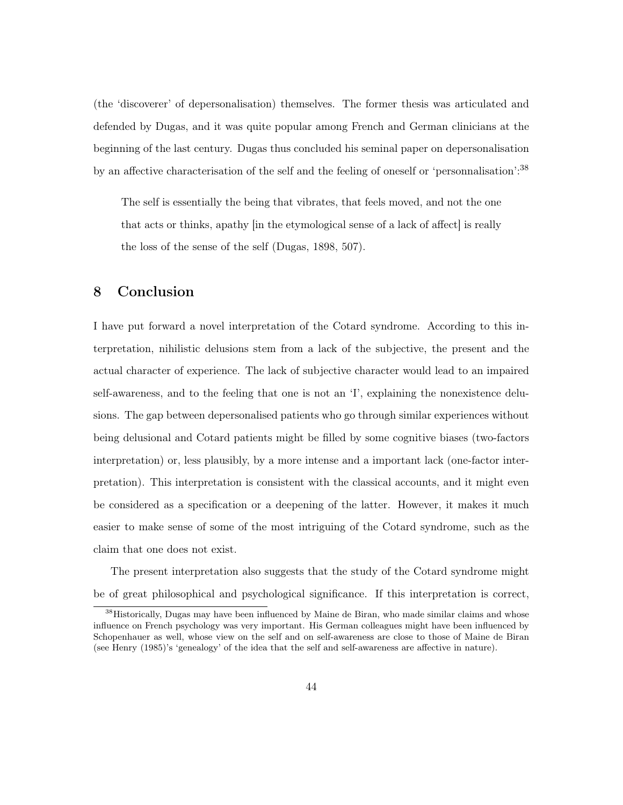(the 'discoverer' of depersonalisation) themselves. The former thesis was articulated and defended by Dugas, and it was quite popular among French and German clinicians at the beginning of the last century. Dugas thus concluded his seminal paper on depersonalisation by an affective characterisation of the self and the feeling of oneself or 'personnalisation':<sup>38</sup>

The self is essentially the being that vibrates, that feels moved, and not the one that acts or thinks, apathy [in the etymological sense of a lack of affect] is really the loss of the sense of the self (Dugas, 1898, 507).

# 8 Conclusion

I have put forward a novel interpretation of the Cotard syndrome. According to this interpretation, nihilistic delusions stem from a lack of the subjective, the present and the actual character of experience. The lack of subjective character would lead to an impaired self-awareness, and to the feeling that one is not an 'I', explaining the nonexistence delusions. The gap between depersonalised patients who go through similar experiences without being delusional and Cotard patients might be filled by some cognitive biases (two-factors interpretation) or, less plausibly, by a more intense and a important lack (one-factor interpretation). This interpretation is consistent with the classical accounts, and it might even be considered as a specification or a deepening of the latter. However, it makes it much easier to make sense of some of the most intriguing of the Cotard syndrome, such as the claim that one does not exist.

The present interpretation also suggests that the study of the Cotard syndrome might be of great philosophical and psychological significance. If this interpretation is correct,

<sup>&</sup>lt;sup>38</sup>Historically, Dugas may have been influenced by Maine de Biran, who made similar claims and whose influence on French psychology was very important. His German colleagues might have been influenced by Schopenhauer as well, whose view on the self and on self-awareness are close to those of Maine de Biran (see Henry (1985)'s 'genealogy' of the idea that the self and self-awareness are affective in nature).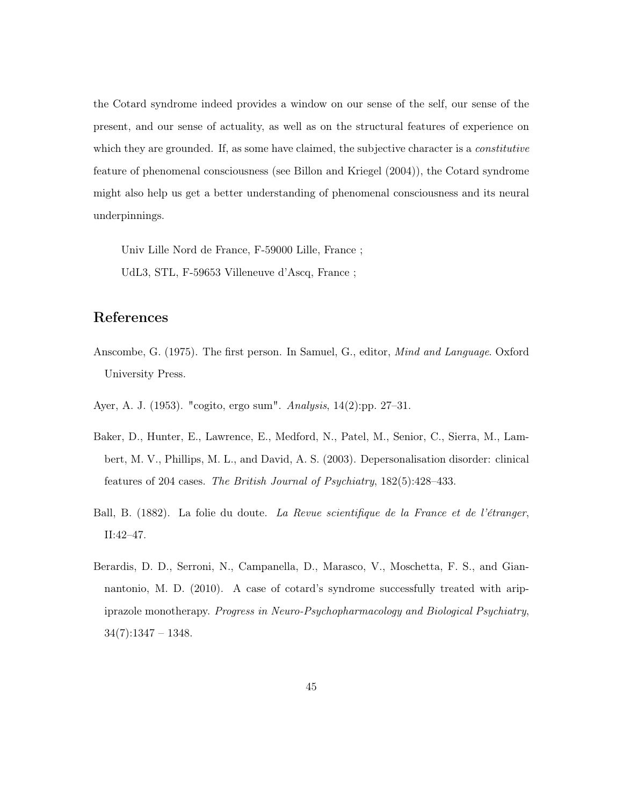the Cotard syndrome indeed provides a window on our sense of the self, our sense of the present, and our sense of actuality, as well as on the structural features of experience on which they are grounded. If, as some have claimed, the subjective character is a *constitutive* feature of phenomenal consciousness (see Billon and Kriegel (2004)), the Cotard syndrome might also help us get a better understanding of phenomenal consciousness and its neural underpinnings.

Univ Lille Nord de France, F-59000 Lille, France ; UdL3, STL, F-59653 Villeneuve d'Ascq, France ;

# References

- Anscombe, G. (1975). The first person. In Samuel, G., editor, *Mind and Language*. Oxford University Press.
- Ayer, A. J. (1953). "cogito, ergo sum". *Analysis*, 14(2):pp. 27–31.
- Baker, D., Hunter, E., Lawrence, E., Medford, N., Patel, M., Senior, C., Sierra, M., Lambert, M. V., Phillips, M. L., and David, A. S. (2003). Depersonalisation disorder: clinical features of 204 cases. *The British Journal of Psychiatry*, 182(5):428–433.
- Ball, B. (1882). La folie du doute. *La Revue scientifique de la France et de l'étranger*, II:42–47.
- Berardis, D. D., Serroni, N., Campanella, D., Marasco, V., Moschetta, F. S., and Giannantonio, M. D. (2010). A case of cotard's syndrome successfully treated with aripiprazole monotherapy. *Progress in Neuro-Psychopharmacology and Biological Psychiatry*,  $34(7):1347 - 1348.$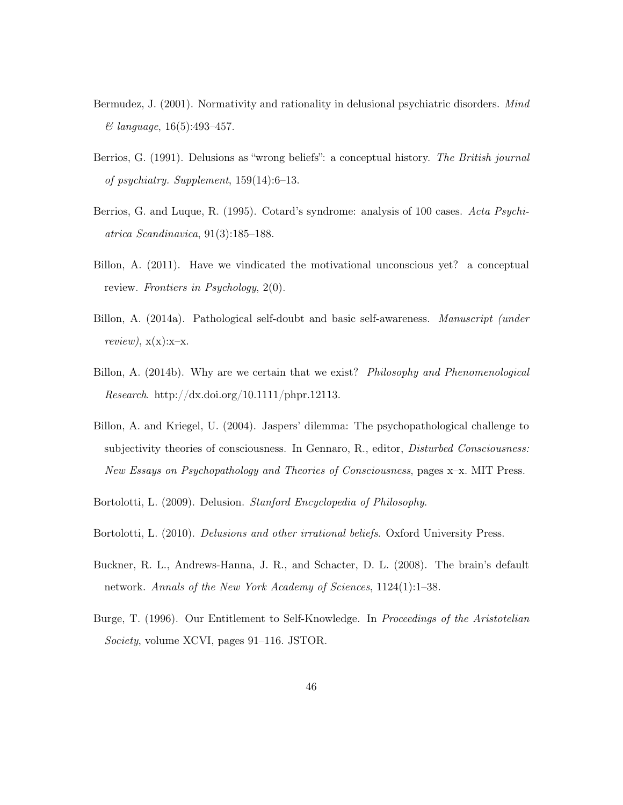- Bermudez, J. (2001). Normativity and rationality in delusional psychiatric disorders. *Mind & language*, 16(5):493–457.
- Berrios, G. (1991). Delusions as "wrong beliefs": a conceptual history. *The British journal of psychiatry. Supplement*, 159(14):6–13.
- Berrios, G. and Luque, R. (1995). Cotard's syndrome: analysis of 100 cases. *Acta Psychiatrica Scandinavica*, 91(3):185–188.
- Billon, A. (2011). Have we vindicated the motivational unconscious yet? a conceptual review. *Frontiers in Psychology*, 2(0).
- Billon, A. (2014a). Pathological self-doubt and basic self-awareness. *Manuscript (under review)*, x(x):x–x.
- Billon, A. (2014b). Why are we certain that we exist? *Philosophy and Phenomenological Research*. http://dx.doi.org/10.1111/phpr.12113.
- Billon, A. and Kriegel, U. (2004). Jaspers' dilemma: The psychopathological challenge to subjectivity theories of consciousness. In Gennaro, R., editor, *Disturbed Consciousness: New Essays on Psychopathology and Theories of Consciousness*, pages x–x. MIT Press.
- Bortolotti, L. (2009). Delusion. *Stanford Encyclopedia of Philosophy*.
- Bortolotti, L. (2010). *Delusions and other irrational beliefs*. Oxford University Press.
- Buckner, R. L., Andrews-Hanna, J. R., and Schacter, D. L. (2008). The brain's default network. *Annals of the New York Academy of Sciences*, 1124(1):1–38.
- Burge, T. (1996). Our Entitlement to Self-Knowledge. In *Proceedings of the Aristotelian Society*, volume XCVI, pages 91–116. JSTOR.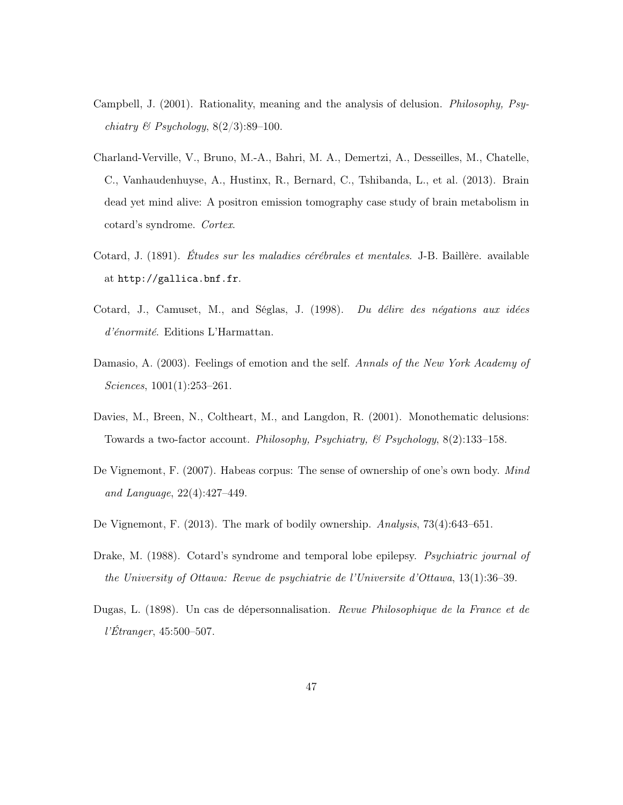- Campbell, J. (2001). Rationality, meaning and the analysis of delusion. *Philosophy, Psychiatry & Psychology*, 8(2/3):89–100.
- Charland-Verville, V., Bruno, M.-A., Bahri, M. A., Demertzi, A., Desseilles, M., Chatelle, C., Vanhaudenhuyse, A., Hustinx, R., Bernard, C., Tshibanda, L., et al. (2013). Brain dead yet mind alive: A positron emission tomography case study of brain metabolism in cotard's syndrome. *Cortex*.
- Cotard, J. (1891). *Études sur les maladies cérébrales et mentales*. J-B. Baillère. available at http://gallica.bnf.fr.
- Cotard, J., Camuset, M., and Séglas, J. (1998). *Du délire des négations aux idées d'énormité*. Editions L'Harmattan.
- Damasio, A. (2003). Feelings of emotion and the self. *Annals of the New York Academy of Sciences*, 1001(1):253–261.
- Davies, M., Breen, N., Coltheart, M., and Langdon, R. (2001). Monothematic delusions: Towards a two-factor account. *Philosophy, Psychiatry, & Psychology*, 8(2):133–158.
- De Vignemont, F. (2007). Habeas corpus: The sense of ownership of one's own body. *Mind and Language*, 22(4):427–449.
- De Vignemont, F. (2013). The mark of bodily ownership. *Analysis*, 73(4):643–651.
- Drake, M. (1988). Cotard's syndrome and temporal lobe epilepsy. *Psychiatric journal of the University of Ottawa: Revue de psychiatrie de l'Universite d'Ottawa*, 13(1):36–39.
- Dugas, L. (1898). Un cas de dépersonnalisation. *Revue Philosophique de la France et de l'Étranger*, 45:500–507.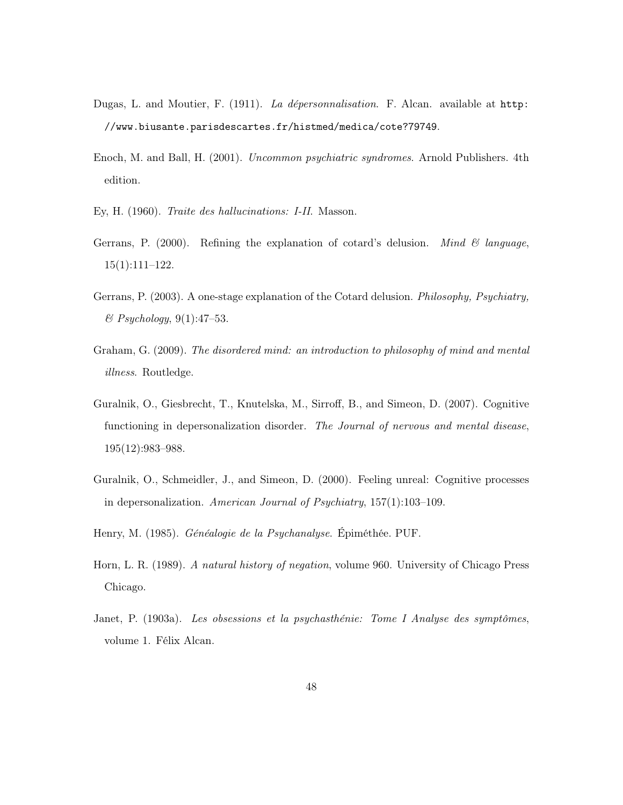- Dugas, L. and Moutier, F. (1911). *La dépersonnalisation*. F. Alcan. available at http: //www.biusante.parisdescartes.fr/histmed/medica/cote?79749.
- Enoch, M. and Ball, H. (2001). *Uncommon psychiatric syndromes*. Arnold Publishers. 4th edition.
- Ey, H. (1960). *Traite des hallucinations: I-II*. Masson.
- Gerrans, P. (2000). Refining the explanation of cotard's delusion. *Mind & language*, 15(1):111–122.
- Gerrans, P. (2003). A one-stage explanation of the Cotard delusion. *Philosophy, Psychiatry, & Psychology*, 9(1):47–53.
- Graham, G. (2009). *The disordered mind: an introduction to philosophy of mind and mental illness*. Routledge.
- Guralnik, O., Giesbrecht, T., Knutelska, M., Sirroff, B., and Simeon, D. (2007). Cognitive functioning in depersonalization disorder. *The Journal of nervous and mental disease*, 195(12):983–988.
- Guralnik, O., Schmeidler, J., and Simeon, D. (2000). Feeling unreal: Cognitive processes in depersonalization. *American Journal of Psychiatry*, 157(1):103–109.
- Henry, M. (1985). *Généalogie de la Psychanalyse*. Épiméthée. PUF.
- Horn, L. R. (1989). *A natural history of negation*, volume 960. University of Chicago Press Chicago.
- Janet, P. (1903a). *Les obsessions et la psychasthénie: Tome I Analyse des symptômes*, volume 1. Félix Alcan.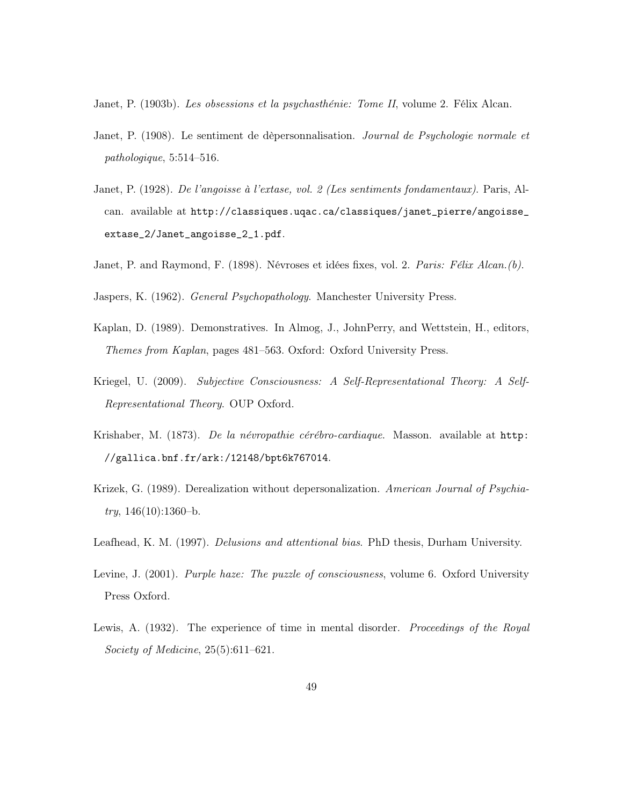Janet, P. (1903b). *Les obsessions et la psychasthénie: Tome II*, volume 2. Félix Alcan.

- Janet, P. (1908). Le sentiment de dèpersonnalisation. *Journal de Psychologie normale et pathologique*, 5:514–516.
- Janet, P. (1928). *De l'angoisse à l'extase, vol. 2 (Les sentiments fondamentaux)*. Paris, Alcan. available at http://classiques.uqac.ca/classiques/janet\_pierre/angoisse\_ extase\_2/Janet\_angoisse\_2\_1.pdf.
- Janet, P. and Raymond, F. (1898). Névroses et idées fixes, vol. 2. *Paris: Félix Alcan.(b)*.
- Jaspers, K. (1962). *General Psychopathology*. Manchester University Press.
- Kaplan, D. (1989). Demonstratives. In Almog, J., JohnPerry, and Wettstein, H., editors, *Themes from Kaplan*, pages 481–563. Oxford: Oxford University Press.
- Kriegel, U. (2009). *Subjective Consciousness: A Self-Representational Theory: A Self-Representational Theory*. OUP Oxford.
- Krishaber, M. (1873). *De la névropathie cérébro-cardiaque*. Masson. available at http: //gallica.bnf.fr/ark:/12148/bpt6k767014.
- Krizek, G. (1989). Derealization without depersonalization. *American Journal of Psychiatry*, 146(10):1360–b.
- Leafhead, K. M. (1997). *Delusions and attentional bias*. PhD thesis, Durham University.
- Levine, J. (2001). *Purple haze: The puzzle of consciousness*, volume 6. Oxford University Press Oxford.
- Lewis, A. (1932). The experience of time in mental disorder. *Proceedings of the Royal Society of Medicine*, 25(5):611–621.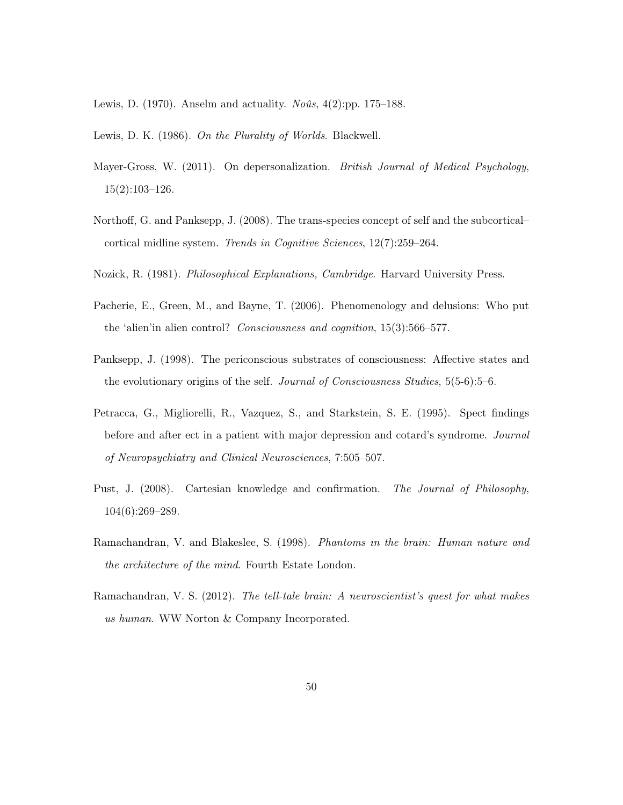Lewis, D. (1970). Anselm and actuality. *Noûs*, 4(2):pp. 175–188.

Lewis, D. K. (1986). *On the Plurality of Worlds*. Blackwell.

- Mayer-Gross, W. (2011). On depersonalization. *British Journal of Medical Psychology*,  $15(2):103-126.$
- Northoff, G. and Panksepp, J. (2008). The trans-species concept of self and the subcortical– cortical midline system. *Trends in Cognitive Sciences*, 12(7):259–264.
- Nozick, R. (1981). *Philosophical Explanations, Cambridge*. Harvard University Press.
- Pacherie, E., Green, M., and Bayne, T. (2006). Phenomenology and delusions: Who put the 'alien'in alien control? *Consciousness and cognition*, 15(3):566–577.
- Panksepp, J. (1998). The periconscious substrates of consciousness: Affective states and the evolutionary origins of the self. *Journal of Consciousness Studies*, 5(5-6):5–6.
- Petracca, G., Migliorelli, R., Vazquez, S., and Starkstein, S. E. (1995). Spect findings before and after ect in a patient with major depression and cotard's syndrome. *Journal of Neuropsychiatry and Clinical Neurosciences*, 7:505–507.
- Pust, J. (2008). Cartesian knowledge and confirmation. *The Journal of Philosophy*, 104(6):269–289.
- Ramachandran, V. and Blakeslee, S. (1998). *Phantoms in the brain: Human nature and the architecture of the mind*. Fourth Estate London.
- Ramachandran, V. S. (2012). *The tell-tale brain: A neuroscientist's quest for what makes us human*. WW Norton & Company Incorporated.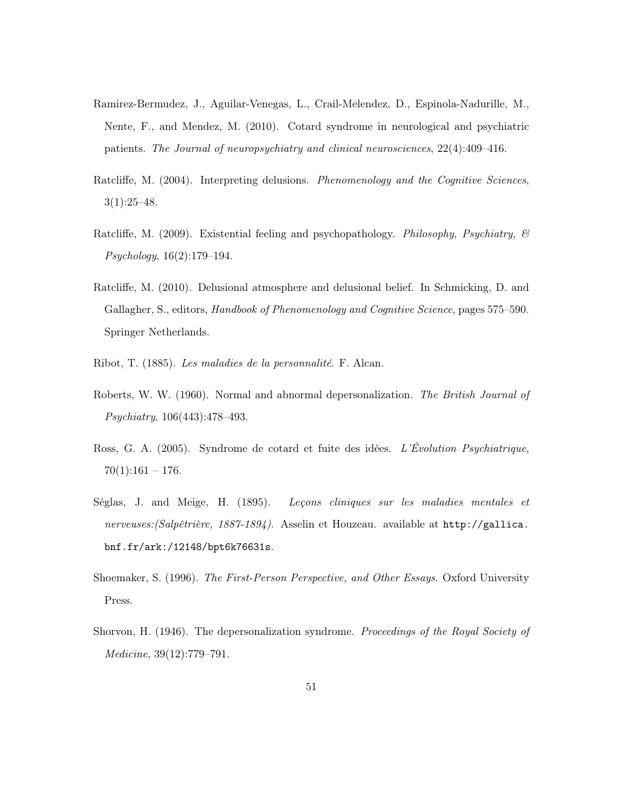- Ramirez-Bermudez, J., Aguilar-Venegas, L., Crail-Melendez, D., Espinola-Nadurille, M., Nente, F., and Mendez, M. (2010). Cotard syndrome in neurological and psychiatric patients. *The Journal of neuropsychiatry and clinical neurosciences*, 22(4):409–416.
- Ratcliffe, M. (2004). Interpreting delusions. *Phenomenology and the Cognitive Sciences*, 3(1):25–48.
- Ratcliffe, M. (2009). Existential feeling and psychopathology. *Philosophy, Psychiatry, & Psychology*, 16(2):179–194.
- Ratcliffe, M. (2010). Delusional atmosphere and delusional belief. In Schmicking, D. and Gallagher, S., editors, *Handbook of Phenomenology and Cognitive Science*, pages 575–590. Springer Netherlands.
- Ribot, T. (1885). *Les maladies de la personnalité*. F. Alcan.
- Roberts, W. W. (1960). Normal and abnormal depersonalization. *The British Journal of Psychiatry*, 106(443):478–493.
- Ross, G. A. (2005). Syndrome de cotard et fuite des idèes. *L'Évolution Psychiatrique*,  $70(1):161 - 176.$
- Séglas, J. and Meige, H. (1895). *Leçons cliniques sur les maladies mentales et nerveuses:(Salpêtrière, 1887-1894)*. Asselin et Houzeau. available at http://gallica. bnf.fr/ark:/12148/bpt6k76631s.
- Shoemaker, S. (1996). *The First-Person Perspective, and Other Essays*. Oxford University Press.
- Shorvon, H. (1946). The depersonalization syndrome. *Proceedings of the Royal Society of Medicine*, 39(12):779–791.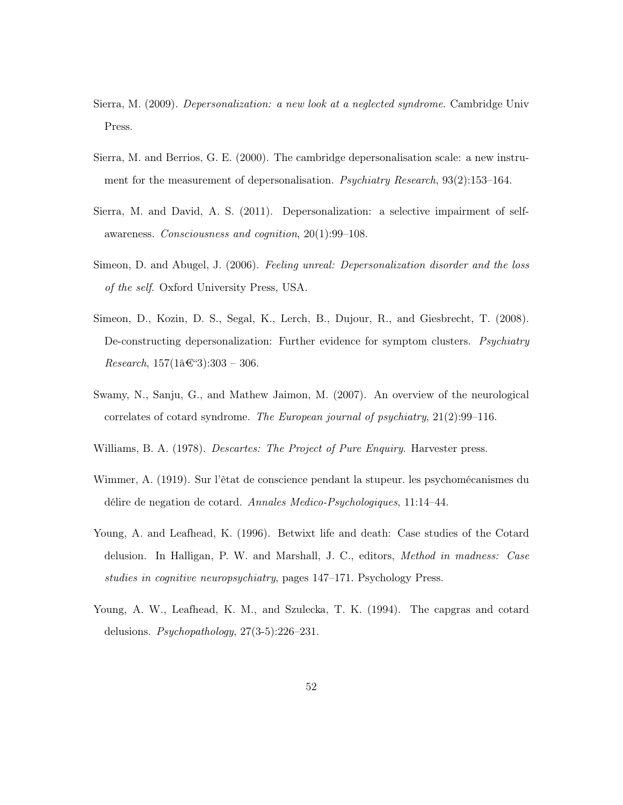- Sierra, M. (2009). *Depersonalization: a new look at a neglected syndrome*. Cambridge Univ Press.
- Sierra, M. and Berrios, G. E. (2000). The cambridge depersonalisation scale: a new instrument for the measurement of depersonalisation. *Psychiatry Research*, 93(2):153–164.
- Sierra, M. and David, A. S. (2011). Depersonalization: a selective impairment of selfawareness. *Consciousness and cognition*, 20(1):99–108.
- Simeon, D. and Abugel, J. (2006). *Feeling unreal: Depersonalization disorder and the loss of the self*. Oxford University Press, USA.
- Simeon, D., Kozin, D. S., Segal, K., Lerch, B., Dujour, R., and Giesbrecht, T. (2008). De-constructing depersonalization: Further evidence for symptom clusters. *Psychiatry Research*, 157(1â€"3):303 – 306.
- Swamy, N., Sanju, G., and Mathew Jaimon, M. (2007). An overview of the neurological correlates of cotard syndrome. *The European journal of psychiatry*, 21(2):99–116.
- Williams, B. A. (1978). *Descartes: The Project of Pure Enquiry*. Harvester press.
- Wimmer, A. (1919). Sur l'ètat de conscience pendant la stupeur. les psychomécanismes du délire de negation de cotard. *Annales Medico-Psychologiques*, 11:14–44.
- Young, A. and Leafhead, K. (1996). Betwixt life and death: Case studies of the Cotard delusion. In Halligan, P. W. and Marshall, J. C., editors, *Method in madness: Case studies in cognitive neuropsychiatry*, pages 147–171. Psychology Press.
- Young, A. W., Leafhead, K. M., and Szulecka, T. K. (1994). The capgras and cotard delusions. *Psychopathology*, 27(3-5):226–231.